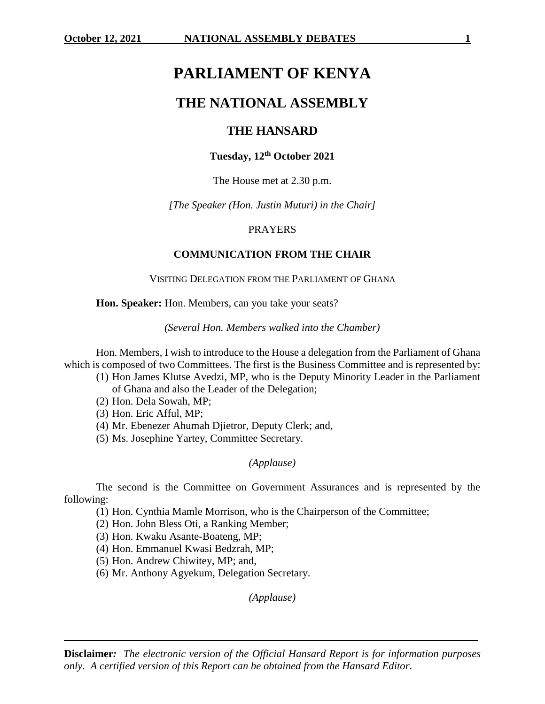# **PARLIAMENT OF KENYA**

## **THE NATIONAL ASSEMBLY**

## **THE HANSARD**

## **Tuesday, 12th October 2021**

## The House met at 2.30 p.m.

*[The Speaker (Hon. Justin Muturi) in the Chair]*

## PRAYERS

## **COMMUNICATION FROM THE CHAIR**

## VISITING DELEGATION FROM THE PARLIAMENT OF GHANA

**Hon. Speaker:** Hon. Members, can you take your seats?

*(Several Hon. Members walked into the Chamber)*

Hon. Members, I wish to introduce to the House a delegation from the Parliament of Ghana which is composed of two Committees. The first is the Business Committee and is represented by:

- (1) Hon James Klutse Avedzi, MP, who is the Deputy Minority Leader in the Parliament of Ghana and also the Leader of the Delegation;
- (2) Hon. Dela Sowah, MP;
- (3) Hon. Eric Afful, MP;
- (4) Mr. Ebenezer Ahumah Djietror, Deputy Clerk; and,
- (5) Ms. Josephine Yartey, Committee Secretary.

## *(Applause)*

The second is the Committee on Government Assurances and is represented by the following:

(1) Hon. Cynthia Mamle Morrison, who is the Chairperson of the Committee;

- (2) Hon. John Bless Oti, a Ranking Member;
- (3) Hon. Kwaku Asante-Boateng, MP;
- (4) Hon. Emmanuel Kwasi Bedzrah, MP;
- (5) Hon. Andrew Chiwitey, MP; and,
- (6) Mr. Anthony Agyekum, Delegation Secretary.

*(Applause)*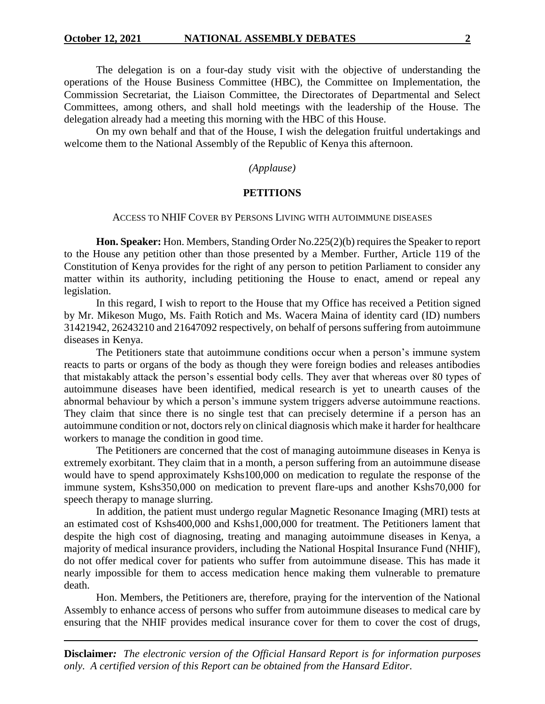The delegation is on a four-day study visit with the objective of understanding the operations of the House Business Committee (HBC), the Committee on Implementation, the Commission Secretariat, the Liaison Committee, the Directorates of Departmental and Select Committees, among others, and shall hold meetings with the leadership of the House. The delegation already had a meeting this morning with the HBC of this House.

On my own behalf and that of the House, I wish the delegation fruitful undertakings and welcome them to the National Assembly of the Republic of Kenya this afternoon.

*(Applause)*

## **PETITIONS**

#### ACCESS TO NHIF COVER BY PERSONS LIVING WITH AUTOIMMUNE DISEASES

**Hon. Speaker:** Hon. Members, Standing Order No.225(2)(b) requires the Speaker to report to the House any petition other than those presented by a Member. Further, Article 119 of the Constitution of Kenya provides for the right of any person to petition Parliament to consider any matter within its authority, including petitioning the House to enact, amend or repeal any legislation.

In this regard, I wish to report to the House that my Office has received a Petition signed by Mr. Mikeson Mugo, Ms. Faith Rotich and Ms. Wacera Maina of identity card (ID) numbers 31421942, 26243210 and 21647092 respectively, on behalf of persons suffering from autoimmune diseases in Kenya.

The Petitioners state that autoimmune conditions occur when a person's immune system reacts to parts or organs of the body as though they were foreign bodies and releases antibodies that mistakably attack the person's essential body cells. They aver that whereas over 80 types of autoimmune diseases have been identified, medical research is yet to unearth causes of the abnormal behaviour by which a person's immune system triggers adverse autoimmune reactions. They claim that since there is no single test that can precisely determine if a person has an autoimmune condition or not, doctors rely on clinical diagnosis which make it harder for healthcare workers to manage the condition in good time.

The Petitioners are concerned that the cost of managing autoimmune diseases in Kenya is extremely exorbitant. They claim that in a month, a person suffering from an autoimmune disease would have to spend approximately Kshs100,000 on medication to regulate the response of the immune system, Kshs350,000 on medication to prevent flare-ups and another Kshs70,000 for speech therapy to manage slurring.

In addition, the patient must undergo regular Magnetic Resonance Imaging (MRI) tests at an estimated cost of Kshs400,000 and Kshs1,000,000 for treatment. The Petitioners lament that despite the high cost of diagnosing, treating and managing autoimmune diseases in Kenya, a majority of medical insurance providers, including the National Hospital Insurance Fund (NHIF), do not offer medical cover for patients who suffer from autoimmune disease. This has made it nearly impossible for them to access medication hence making them vulnerable to premature death.

Hon. Members, the Petitioners are, therefore, praying for the intervention of the National Assembly to enhance access of persons who suffer from autoimmune diseases to medical care by ensuring that the NHIF provides medical insurance cover for them to cover the cost of drugs,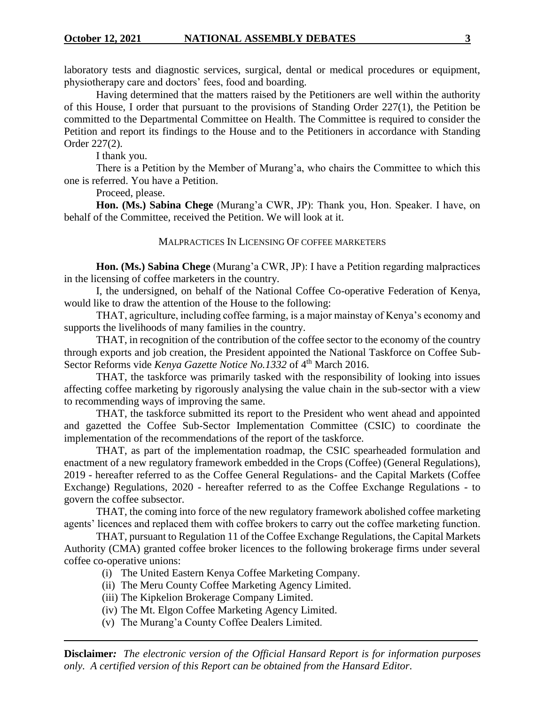laboratory tests and diagnostic services, surgical, dental or medical procedures or equipment, physiotherapy care and doctors' fees, food and boarding.

Having determined that the matters raised by the Petitioners are well within the authority of this House, I order that pursuant to the provisions of Standing Order 227(1), the Petition be committed to the Departmental Committee on Health. The Committee is required to consider the Petition and report its findings to the House and to the Petitioners in accordance with Standing Order 227(2).

I thank you.

There is a Petition by the Member of Murang'a, who chairs the Committee to which this one is referred. You have a Petition.

Proceed, please.

**Hon. (Ms.) Sabina Chege** (Murang'a CWR, JP): Thank you, Hon. Speaker. I have, on behalf of the Committee, received the Petition. We will look at it.

MALPRACTICES IN LICENSING OF COFFEE MARKETERS

**Hon. (Ms.) Sabina Chege** (Murang'a CWR, JP): I have a Petition regarding malpractices in the licensing of coffee marketers in the country.

I, the undersigned, on behalf of the National Coffee Co-operative Federation of Kenya, would like to draw the attention of the House to the following:

THAT, agriculture, including coffee farming, is a major mainstay of Kenya's economy and supports the livelihoods of many families in the country.

THAT, in recognition of the contribution of the coffee sector to the economy of the country through exports and job creation, the President appointed the National Taskforce on Coffee Sub-Sector Reforms vide *Kenya Gazette Notice No.1332* of 4<sup>th</sup> March 2016.

THAT, the taskforce was primarily tasked with the responsibility of looking into issues affecting coffee marketing by rigorously analysing the value chain in the sub-sector with a view to recommending ways of improving the same.

THAT, the taskforce submitted its report to the President who went ahead and appointed and gazetted the Coffee Sub-Sector Implementation Committee (CSIC) to coordinate the implementation of the recommendations of the report of the taskforce.

THAT, as part of the implementation roadmap, the CSIC spearheaded formulation and enactment of a new regulatory framework embedded in the Crops (Coffee) (General Regulations), 2019 - hereafter referred to as the Coffee General Regulations- and the Capital Markets (Coffee Exchange) Regulations, 2020 - hereafter referred to as the Coffee Exchange Regulations - to govern the coffee subsector.

THAT, the coming into force of the new regulatory framework abolished coffee marketing agents' licences and replaced them with coffee brokers to carry out the coffee marketing function.

THAT, pursuant to Regulation 11 of the Coffee Exchange Regulations, the Capital Markets Authority (CMA) granted coffee broker licences to the following brokerage firms under several coffee co-operative unions:

- (i) The United Eastern Kenya Coffee Marketing Company.
- (ii) The Meru County Coffee Marketing Agency Limited.
- (iii) The Kipkelion Brokerage Company Limited.
- (iv) The Mt. Elgon Coffee Marketing Agency Limited.
- (v) The Murang'a County Coffee Dealers Limited.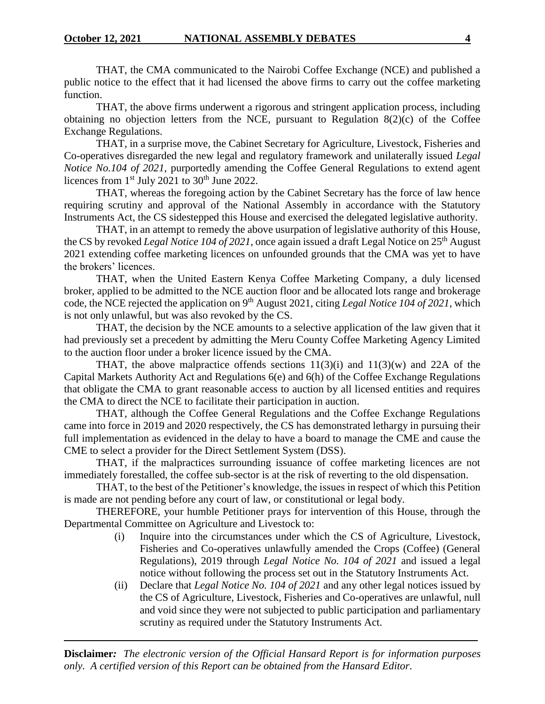THAT, the CMA communicated to the Nairobi Coffee Exchange (NCE) and published a public notice to the effect that it had licensed the above firms to carry out the coffee marketing function.

THAT, the above firms underwent a rigorous and stringent application process, including obtaining no objection letters from the NCE, pursuant to Regulation  $8(2)(c)$  of the Coffee Exchange Regulations.

THAT, in a surprise move, the Cabinet Secretary for Agriculture, Livestock, Fisheries and Co-operatives disregarded the new legal and regulatory framework and unilaterally issued *Legal Notice No.104 of 2021*, purportedly amending the Coffee General Regulations to extend agent licences from  $1<sup>st</sup>$  July 2021 to 30<sup>th</sup> June 2022.

THAT, whereas the foregoing action by the Cabinet Secretary has the force of law hence requiring scrutiny and approval of the National Assembly in accordance with the Statutory Instruments Act, the CS sidestepped this House and exercised the delegated legislative authority.

THAT, in an attempt to remedy the above usurpation of legislative authority of this House, the CS by revoked *Legal Notice 104 of 2021*, once again issued a draft Legal Notice on 25th August 2021 extending coffee marketing licences on unfounded grounds that the CMA was yet to have the brokers' licences.

THAT, when the United Eastern Kenya Coffee Marketing Company, a duly licensed broker, applied to be admitted to the NCE auction floor and be allocated lots range and brokerage code, the NCE rejected the application on 9<sup>th</sup> August 2021, citing *Legal Notice 104 of 2021*, which is not only unlawful, but was also revoked by the CS.

THAT, the decision by the NCE amounts to a selective application of the law given that it had previously set a precedent by admitting the Meru County Coffee Marketing Agency Limited to the auction floor under a broker licence issued by the CMA.

THAT, the above malpractice offends sections  $11(3)(i)$  and  $11(3)(w)$  and 22A of the Capital Markets Authority Act and Regulations 6(e) and 6(h) of the Coffee Exchange Regulations that obligate the CMA to grant reasonable access to auction by all licensed entities and requires the CMA to direct the NCE to facilitate their participation in auction.

THAT, although the Coffee General Regulations and the Coffee Exchange Regulations came into force in 2019 and 2020 respectively, the CS has demonstrated lethargy in pursuing their full implementation as evidenced in the delay to have a board to manage the CME and cause the CME to select a provider for the Direct Settlement System (DSS).

THAT, if the malpractices surrounding issuance of coffee marketing licences are not immediately forestalled, the coffee sub-sector is at the risk of reverting to the old dispensation.

THAT, to the best of the Petitioner's knowledge, the issues in respect of which this Petition is made are not pending before any court of law, or constitutional or legal body.

THEREFORE, your humble Petitioner prays for intervention of this House, through the Departmental Committee on Agriculture and Livestock to:

- (i) Inquire into the circumstances under which the CS of Agriculture, Livestock, Fisheries and Co-operatives unlawfully amended the Crops (Coffee) (General Regulations), 2019 through *Legal Notice No. 104 of 2021* and issued a legal notice without following the process set out in the Statutory Instruments Act.
- (ii) Declare that *Legal Notice No. 104 of 2021* and any other legal notices issued by the CS of Agriculture, Livestock, Fisheries and Co-operatives are unlawful, null and void since they were not subjected to public participation and parliamentary scrutiny as required under the Statutory Instruments Act.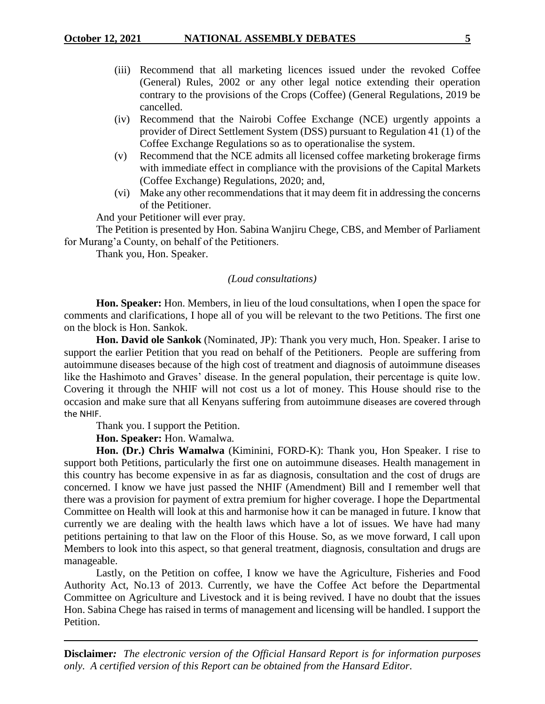- (iii) Recommend that all marketing licences issued under the revoked Coffee (General) Rules, 2002 or any other legal notice extending their operation contrary to the provisions of the Crops (Coffee) (General Regulations, 2019 be cancelled.
- (iv) Recommend that the Nairobi Coffee Exchange (NCE) urgently appoints a provider of Direct Settlement System (DSS) pursuant to Regulation 41 (1) of the Coffee Exchange Regulations so as to operationalise the system.
- (v) Recommend that the NCE admits all licensed coffee marketing brokerage firms with immediate effect in compliance with the provisions of the Capital Markets (Coffee Exchange) Regulations, 2020; and,
- (vi) Make any other recommendations that it may deem fit in addressing the concerns of the Petitioner.

And your Petitioner will ever pray.

The Petition is presented by Hon. Sabina Wanjiru Chege, CBS, and Member of Parliament for Murang'a County, on behalf of the Petitioners.

Thank you, Hon. Speaker.

## *(Loud consultations)*

**Hon. Speaker:** Hon. Members, in lieu of the loud consultations, when I open the space for comments and clarifications, I hope all of you will be relevant to the two Petitions. The first one on the block is Hon. Sankok.

**Hon. David ole Sankok** (Nominated, JP): Thank you very much, Hon. Speaker. I arise to support the earlier Petition that you read on behalf of the Petitioners. People are suffering from autoimmune diseases because of the high cost of treatment and diagnosis of autoimmune diseases like the Hashimoto and Graves' disease. In the general population, their percentage is quite low. Covering it through the NHIF will not cost us a lot of money. This House should rise to the occasion and make sure that all Kenyans suffering from autoimmune diseases are covered through the NHIF.

Thank you. I support the Petition.

**Hon. Speaker:** Hon. Wamalwa.

**Hon. (Dr.) Chris Wamalwa** (Kiminini, FORD-K): Thank you, Hon Speaker. I rise to support both Petitions, particularly the first one on autoimmune diseases. Health management in this country has become expensive in as far as diagnosis, consultation and the cost of drugs are concerned. I know we have just passed the NHIF (Amendment) Bill and I remember well that there was a provision for payment of extra premium for higher coverage. I hope the Departmental Committee on Health will look at this and harmonise how it can be managed in future. I know that currently we are dealing with the health laws which have a lot of issues. We have had many petitions pertaining to that law on the Floor of this House. So, as we move forward, I call upon Members to look into this aspect, so that general treatment, diagnosis, consultation and drugs are manageable.

Lastly, on the Petition on coffee, I know we have the Agriculture, Fisheries and Food Authority Act, No.13 of 2013. Currently, we have the Coffee Act before the Departmental Committee on Agriculture and Livestock and it is being revived. I have no doubt that the issues Hon. Sabina Chege has raised in terms of management and licensing will be handled. I support the Petition.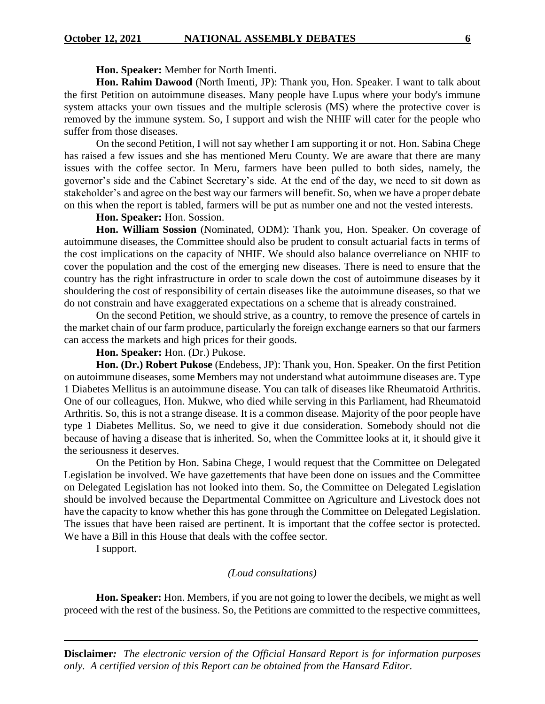**Hon. Speaker:** Member for North Imenti.

**Hon. Rahim Dawood** (North Imenti, JP): Thank you, Hon. Speaker. I want to talk about the first Petition on autoimmune diseases. Many people have Lupus where your body's immune system attacks your own tissues and the multiple sclerosis (MS) where the protective cover is removed by the immune system. So, I support and wish the NHIF will cater for the people who suffer from those diseases.

On the second Petition, I will not say whether I am supporting it or not. Hon. Sabina Chege has raised a few issues and she has mentioned Meru County. We are aware that there are many issues with the coffee sector. In Meru, farmers have been pulled to both sides, namely, the governor's side and the Cabinet Secretary's side. At the end of the day, we need to sit down as stakeholder's and agree on the best way our farmers will benefit. So, when we have a proper debate on this when the report is tabled, farmers will be put as number one and not the vested interests.

**Hon. Speaker:** Hon. Sossion.

**Hon. William Sossion** (Nominated, ODM): Thank you, Hon. Speaker. On coverage of autoimmune diseases, the Committee should also be prudent to consult actuarial facts in terms of the cost implications on the capacity of NHIF. We should also balance overreliance on NHIF to cover the population and the cost of the emerging new diseases. There is need to ensure that the country has the right infrastructure in order to scale down the cost of autoimmune diseases by it shouldering the cost of responsibility of certain diseases like the autoimmune diseases, so that we do not constrain and have exaggerated expectations on a scheme that is already constrained.

On the second Petition, we should strive, as a country, to remove the presence of cartels in the market chain of our farm produce, particularly the foreign exchange earners so that our farmers can access the markets and high prices for their goods.

## **Hon. Speaker:** Hon. (Dr.) Pukose.

**Hon. (Dr.) Robert Pukose** (Endebess, JP): Thank you, Hon. Speaker. On the first Petition on autoimmune diseases, some Members may not understand what autoimmune diseases are. Type 1 Diabetes Mellitus is an autoimmune disease. You can talk of diseases like Rheumatoid Arthritis. One of our colleagues, Hon. Mukwe, who died while serving in this Parliament, had Rheumatoid Arthritis. So, this is not a strange disease. It is a common disease. Majority of the poor people have type 1 Diabetes Mellitus. So, we need to give it due consideration. Somebody should not die because of having a disease that is inherited. So, when the Committee looks at it, it should give it the seriousness it deserves.

On the Petition by Hon. Sabina Chege, I would request that the Committee on Delegated Legislation be involved. We have gazettements that have been done on issues and the Committee on Delegated Legislation has not looked into them. So, the Committee on Delegated Legislation should be involved because the Departmental Committee on Agriculture and Livestock does not have the capacity to know whether this has gone through the Committee on Delegated Legislation. The issues that have been raised are pertinent. It is important that the coffee sector is protected. We have a Bill in this House that deals with the coffee sector.

I support.

#### *(Loud consultations)*

**Hon. Speaker:** Hon. Members, if you are not going to lower the decibels, we might as well proceed with the rest of the business. So, the Petitions are committed to the respective committees,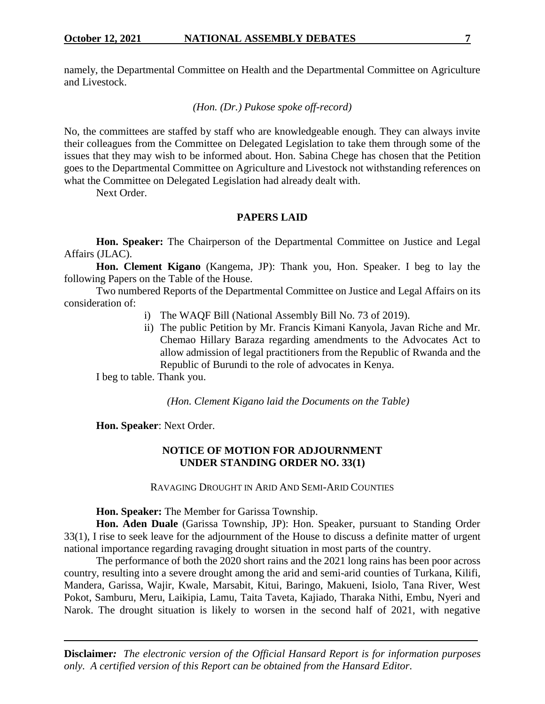namely, the Departmental Committee on Health and the Departmental Committee on Agriculture and Livestock.

*(Hon. (Dr.) Pukose spoke off-record)*

No, the committees are staffed by staff who are knowledgeable enough. They can always invite their colleagues from the Committee on Delegated Legislation to take them through some of the issues that they may wish to be informed about. Hon. Sabina Chege has chosen that the Petition goes to the Departmental Committee on Agriculture and Livestock not withstanding references on what the Committee on Delegated Legislation had already dealt with.

Next Order.

## **PAPERS LAID**

**Hon. Speaker:** The Chairperson of the Departmental Committee on Justice and Legal Affairs (JLAC).

**Hon. Clement Kigano** (Kangema, JP): Thank you, Hon. Speaker. I beg to lay the following Papers on the Table of the House.

Two numbered Reports of the Departmental Committee on Justice and Legal Affairs on its consideration of:

- i) The WAQF Bill (National Assembly Bill No. 73 of 2019).
- ii) The public Petition by Mr. Francis Kimani Kanyola, Javan Riche and Mr. Chemao Hillary Baraza regarding amendments to the Advocates Act to allow admission of legal practitioners from the Republic of Rwanda and the Republic of Burundi to the role of advocates in Kenya.

I beg to table. Thank you.

*(Hon. Clement Kigano laid the Documents on the Table)*

**Hon. Speaker**: Next Order.

## **NOTICE OF MOTION FOR ADJOURNMENT UNDER STANDING ORDER NO. 33(1)**

RAVAGING DROUGHT IN ARID AND SEMI-ARID COUNTIES

#### **Hon. Speaker:** The Member for Garissa Township.

**Hon. Aden Duale** (Garissa Township, JP): Hon. Speaker, pursuant to Standing Order 33(1), I rise to seek leave for the adjournment of the House to discuss a definite matter of urgent national importance regarding ravaging drought situation in most parts of the country.

The performance of both the 2020 short rains and the 2021 long rains has been poor across country, resulting into a severe drought among the arid and semi-arid counties of Turkana, Kilifi, Mandera, Garissa, Wajir, Kwale, Marsabit, Kitui, Baringo, Makueni, Isiolo, Tana River, West Pokot, Samburu, Meru, Laikipia, Lamu, Taita Taveta, Kajiado, Tharaka Nithi, Embu, Nyeri and Narok. The drought situation is likely to worsen in the second half of 2021, with negative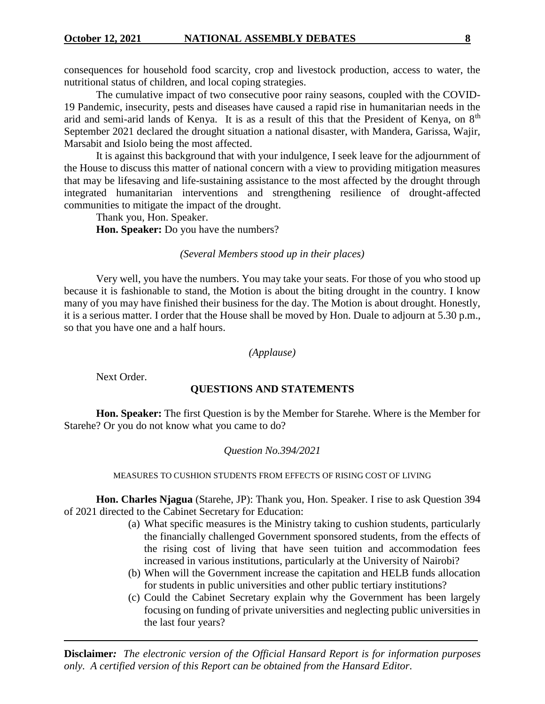consequences for household food scarcity, crop and livestock production, access to water, the nutritional status of children, and local coping strategies.

The cumulative impact of two consecutive poor rainy seasons, coupled with the COVID-19 Pandemic, insecurity, pests and diseases have caused a rapid rise in humanitarian needs in the arid and semi-arid lands of Kenya. It is as a result of this that the President of Kenya, on 8<sup>th</sup> September 2021 declared the drought situation a national disaster, with Mandera, Garissa, Wajir, Marsabit and Isiolo being the most affected.

It is against this background that with your indulgence, I seek leave for the adjournment of the House to discuss this matter of national concern with a view to providing mitigation measures that may be lifesaving and life-sustaining assistance to the most affected by the drought through integrated humanitarian interventions and strengthening resilience of drought-affected communities to mitigate the impact of the drought.

Thank you, Hon. Speaker. **Hon. Speaker:** Do you have the numbers?

## *(Several Members stood up in their places)*

Very well, you have the numbers. You may take your seats. For those of you who stood up because it is fashionable to stand, the Motion is about the biting drought in the country. I know many of you may have finished their business for the day. The Motion is about drought. Honestly, it is a serious matter. I order that the House shall be moved by Hon. Duale to adjourn at 5.30 p.m., so that you have one and a half hours.

## *(Applause)*

Next Order.

## **QUESTIONS AND STATEMENTS**

**Hon. Speaker:** The first Question is by the Member for Starehe. Where is the Member for Starehe? Or you do not know what you came to do?

## *Question No.394/2021*

MEASURES TO CUSHION STUDENTS FROM EFFECTS OF RISING COST OF LIVING

**Hon. Charles Njagua** (Starehe, JP): Thank you, Hon. Speaker. I rise to ask Question 394 of 2021 directed to the Cabinet Secretary for Education:

- (a) What specific measures is the Ministry taking to cushion students, particularly the financially challenged Government sponsored students, from the effects of the rising cost of living that have seen tuition and accommodation fees increased in various institutions, particularly at the University of Nairobi?
- (b) When will the Government increase the capitation and HELB funds allocation for students in public universities and other public tertiary institutions?
- (c) Could the Cabinet Secretary explain why the Government has been largely focusing on funding of private universities and neglecting public universities in the last four years?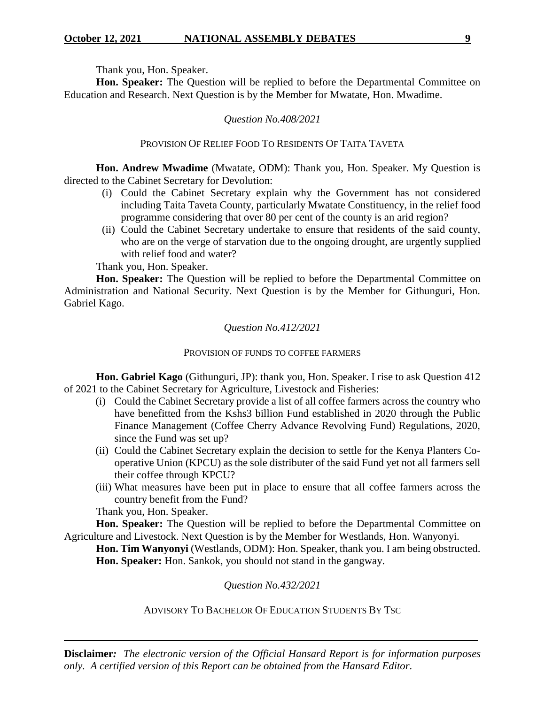Thank you, Hon. Speaker.

**Hon. Speaker:** The Question will be replied to before the Departmental Committee on Education and Research. Next Question is by the Member for Mwatate, Hon. Mwadime.

## *Question No.408/2021*

## PROVISION OF RELIEF FOOD TO RESIDENTS OF TAITA TAVETA

**Hon. Andrew Mwadime** (Mwatate, ODM): Thank you, Hon. Speaker. My Question is directed to the Cabinet Secretary for Devolution:

- (i) Could the Cabinet Secretary explain why the Government has not considered including Taita Taveta County, particularly Mwatate Constituency, in the relief food programme considering that over 80 per cent of the county is an arid region?
- (ii) Could the Cabinet Secretary undertake to ensure that residents of the said county, who are on the verge of starvation due to the ongoing drought, are urgently supplied with relief food and water?

Thank you, Hon. Speaker.

**Hon. Speaker:** The Question will be replied to before the Departmental Committee on Administration and National Security. Next Question is by the Member for Githunguri, Hon. Gabriel Kago.

## *Question No.412/2021*

## PROVISION OF FUNDS TO COFFEE FARMERS

**Hon. Gabriel Kago** (Githunguri, JP): thank you, Hon. Speaker. I rise to ask Question 412 of 2021 to the Cabinet Secretary for Agriculture, Livestock and Fisheries:

- (i) Could the Cabinet Secretary provide a list of all coffee farmers across the country who have benefitted from the Kshs3 billion Fund established in 2020 through the Public Finance Management (Coffee Cherry Advance Revolving Fund) Regulations, 2020, since the Fund was set up?
- (ii) Could the Cabinet Secretary explain the decision to settle for the Kenya Planters Cooperative Union (KPCU) as the sole distributer of the said Fund yet not all farmers sell their coffee through KPCU?
- (iii) What measures have been put in place to ensure that all coffee farmers across the country benefit from the Fund?

Thank you, Hon. Speaker.

**Hon. Speaker:** The Question will be replied to before the Departmental Committee on Agriculture and Livestock. Next Question is by the Member for Westlands, Hon. Wanyonyi.

**Hon. Tim Wanyonyi** (Westlands, ODM): Hon. Speaker, thank you. I am being obstructed. **Hon. Speaker:** Hon. Sankok, you should not stand in the gangway.

*Question No.432/2021*

ADVISORY TO BACHELOR OF EDUCATION STUDENTS BY TSC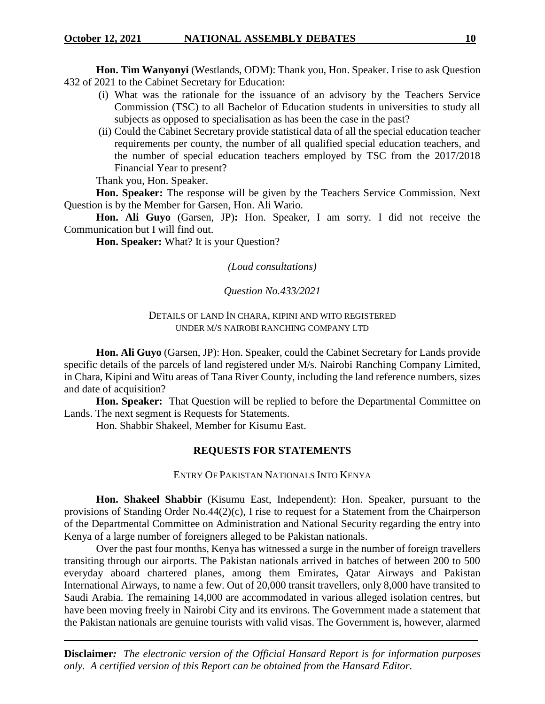**Hon. Tim Wanyonyi** (Westlands, ODM): Thank you, Hon. Speaker. I rise to ask Question 432 of 2021 to the Cabinet Secretary for Education:

- (i) What was the rationale for the issuance of an advisory by the Teachers Service Commission (TSC) to all Bachelor of Education students in universities to study all subjects as opposed to specialisation as has been the case in the past?
- (ii) Could the Cabinet Secretary provide statistical data of all the special education teacher requirements per county, the number of all qualified special education teachers, and the number of special education teachers employed by TSC from the 2017/2018 Financial Year to present?

Thank you, Hon. Speaker.

**Hon. Speaker:** The response will be given by the Teachers Service Commission. Next Question is by the Member for Garsen, Hon. Ali Wario.

**Hon. Ali Guyo** (Garsen, JP)**:** Hon. Speaker, I am sorry. I did not receive the Communication but I will find out.

**Hon. Speaker:** What? It is your Question?

*(Loud consultations)*

*Question No.433/2021*

## DETAILS OF LAND IN CHARA, KIPINI AND WITO REGISTERED UNDER M/S NAIROBI RANCHING COMPANY LTD

**Hon. Ali Guyo** (Garsen, JP): Hon. Speaker, could the Cabinet Secretary for Lands provide specific details of the parcels of land registered under M/s. Nairobi Ranching Company Limited, in Chara, Kipini and Witu areas of Tana River County, including the land reference numbers, sizes and date of acquisition?

**Hon. Speaker:** That Question will be replied to before the Departmental Committee on Lands. The next segment is Requests for Statements.

Hon. Shabbir Shakeel, Member for Kisumu East.

## **REQUESTS FOR STATEMENTS**

ENTRY OF PAKISTAN NATIONALS INTO KENYA

**Hon. Shakeel Shabbir** (Kisumu East, Independent): Hon. Speaker, pursuant to the provisions of Standing Order No.44(2)(c), I rise to request for a Statement from the Chairperson of the Departmental Committee on Administration and National Security regarding the entry into Kenya of a large number of foreigners alleged to be Pakistan nationals.

Over the past four months, Kenya has witnessed a surge in the number of foreign travellers transiting through our airports. The Pakistan nationals arrived in batches of between 200 to 500 everyday aboard chartered planes, among them Emirates, Qatar Airways and Pakistan International Airways, to name a few. Out of 20,000 transit travellers, only 8,000 have transited to Saudi Arabia. The remaining 14,000 are accommodated in various alleged isolation centres, but have been moving freely in Nairobi City and its environs. The Government made a statement that the Pakistan nationals are genuine tourists with valid visas. The Government is, however, alarmed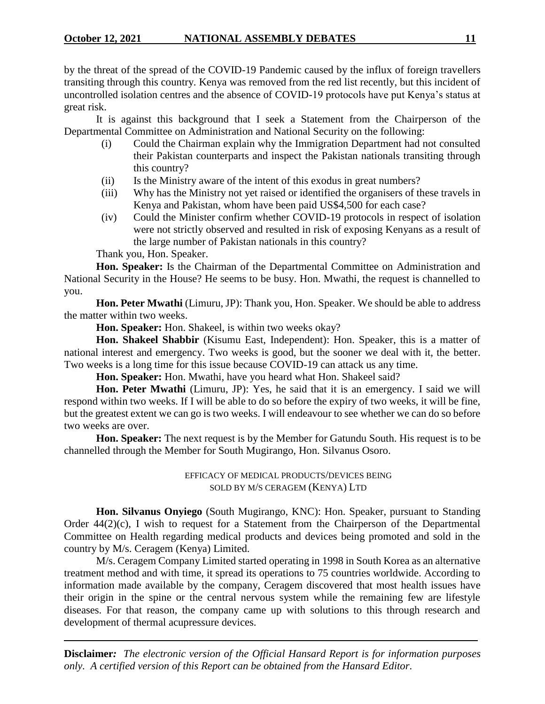by the threat of the spread of the COVID-19 Pandemic caused by the influx of foreign travellers transiting through this country. Kenya was removed from the red list recently, but this incident of uncontrolled isolation centres and the absence of COVID-19 protocols have put Kenya's status at great risk.

It is against this background that I seek a Statement from the Chairperson of the Departmental Committee on Administration and National Security on the following:

- (i) Could the Chairman explain why the Immigration Department had not consulted their Pakistan counterparts and inspect the Pakistan nationals transiting through this country?
- (ii) Is the Ministry aware of the intent of this exodus in great numbers?
- (iii) Why has the Ministry not yet raised or identified the organisers of these travels in Kenya and Pakistan, whom have been paid US\$4,500 for each case?
- (iv) Could the Minister confirm whether COVID-19 protocols in respect of isolation were not strictly observed and resulted in risk of exposing Kenyans as a result of the large number of Pakistan nationals in this country?

Thank you, Hon. Speaker.

**Hon. Speaker:** Is the Chairman of the Departmental Committee on Administration and National Security in the House? He seems to be busy. Hon. Mwathi, the request is channelled to you.

**Hon. Peter Mwathi** (Limuru, JP): Thank you, Hon. Speaker. We should be able to address the matter within two weeks.

**Hon. Speaker:** Hon. Shakeel, is within two weeks okay?

**Hon. Shakeel Shabbir** (Kisumu East, Independent): Hon. Speaker, this is a matter of national interest and emergency. Two weeks is good, but the sooner we deal with it, the better. Two weeks is a long time for this issue because COVID-19 can attack us any time.

**Hon. Speaker:** Hon. Mwathi, have you heard what Hon. Shakeel said?

**Hon. Peter Mwathi** (Limuru, JP): Yes, he said that it is an emergency. I said we will respond within two weeks. If I will be able to do so before the expiry of two weeks, it will be fine, but the greatest extent we can go is two weeks. I will endeavour to see whether we can do so before two weeks are over.

**Hon. Speaker:** The next request is by the Member for Gatundu South. His request is to be channelled through the Member for South Mugirango, Hon. Silvanus Osoro.

> EFFICACY OF MEDICAL PRODUCTS/DEVICES BEING SOLD BY M/S CERAGEM (KENYA) LTD

**Hon. Silvanus Onyiego** (South Mugirango, KNC): Hon. Speaker, pursuant to Standing Order 44(2)(c), I wish to request for a Statement from the Chairperson of the Departmental Committee on Health regarding medical products and devices being promoted and sold in the country by M/s. Ceragem (Kenya) Limited.

M/s. Ceragem Company Limited started operating in 1998 in South Korea as an alternative treatment method and with time, it spread its operations to 75 countries worldwide. According to information made available by the company, Ceragem discovered that most health issues have their origin in the spine or the central nervous system while the remaining few are lifestyle diseases. For that reason, the company came up with solutions to this through research and development of thermal acupressure devices.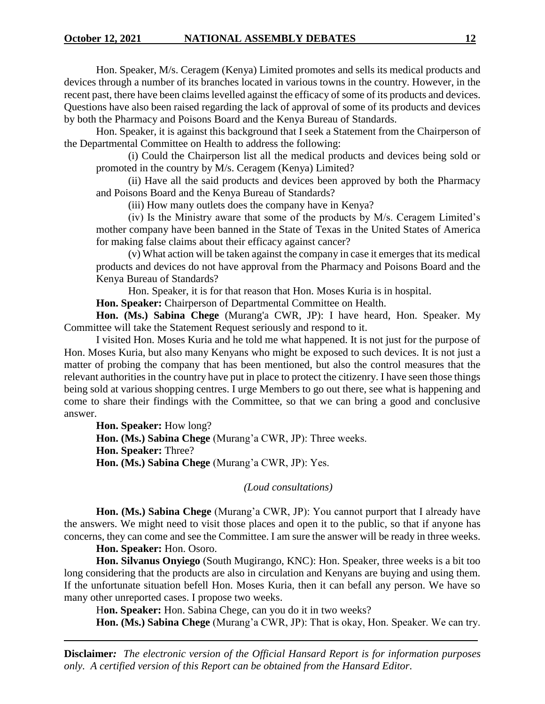Hon. Speaker, M/s. Ceragem (Kenya) Limited promotes and sells its medical products and devices through a number of its branches located in various towns in the country. However, in the recent past, there have been claims levelled against the efficacy of some of its products and devices. Questions have also been raised regarding the lack of approval of some of its products and devices by both the Pharmacy and Poisons Board and the Kenya Bureau of Standards.

Hon. Speaker, it is against this background that I seek a Statement from the Chairperson of the Departmental Committee on Health to address the following:

(i) Could the Chairperson list all the medical products and devices being sold or promoted in the country by M/s. Ceragem (Kenya) Limited?

(ii) Have all the said products and devices been approved by both the Pharmacy and Poisons Board and the Kenya Bureau of Standards?

(iii) How many outlets does the company have in Kenya?

(iv) Is the Ministry aware that some of the products by M/s. Ceragem Limited's mother company have been banned in the State of Texas in the United States of America for making false claims about their efficacy against cancer?

(v) What action will be taken against the company in case it emerges that its medical products and devices do not have approval from the Pharmacy and Poisons Board and the Kenya Bureau of Standards?

Hon. Speaker, it is for that reason that Hon. Moses Kuria is in hospital.

**Hon. Speaker:** Chairperson of Departmental Committee on Health.

**Hon. (Ms.) Sabina Chege** (Murang'a CWR, JP): I have heard, Hon. Speaker. My Committee will take the Statement Request seriously and respond to it.

I visited Hon. Moses Kuria and he told me what happened. It is not just for the purpose of Hon. Moses Kuria, but also many Kenyans who might be exposed to such devices. It is not just a matter of probing the company that has been mentioned, but also the control measures that the relevant authorities in the country have put in place to protect the citizenry. I have seen those things being sold at various shopping centres. I urge Members to go out there, see what is happening and come to share their findings with the Committee, so that we can bring a good and conclusive answer.

**Hon. Speaker:** How long? **Hon. (Ms.) Sabina Chege** (Murang'a CWR, JP): Three weeks. **Hon. Speaker:** Three? **Hon. (Ms.) Sabina Chege** (Murang'a CWR, JP): Yes.

#### *(Loud consultations)*

**Hon. (Ms.) Sabina Chege** (Murang'a CWR, JP): You cannot purport that I already have the answers. We might need to visit those places and open it to the public, so that if anyone has concerns, they can come and see the Committee. I am sure the answer will be ready in three weeks.

**Hon. Speaker:** Hon. Osoro.

**Hon. Silvanus Onyiego** (South Mugirango, KNC): Hon. Speaker, three weeks is a bit too long considering that the products are also in circulation and Kenyans are buying and using them. If the unfortunate situation befell Hon. Moses Kuria, then it can befall any person. We have so many other unreported cases. I propose two weeks.

Hon. Speaker: Hon. Sabina Chege, can you do it in two weeks?

**Hon. (Ms.) Sabina Chege** (Murang'a CWR, JP): That is okay, Hon. Speaker. We can try.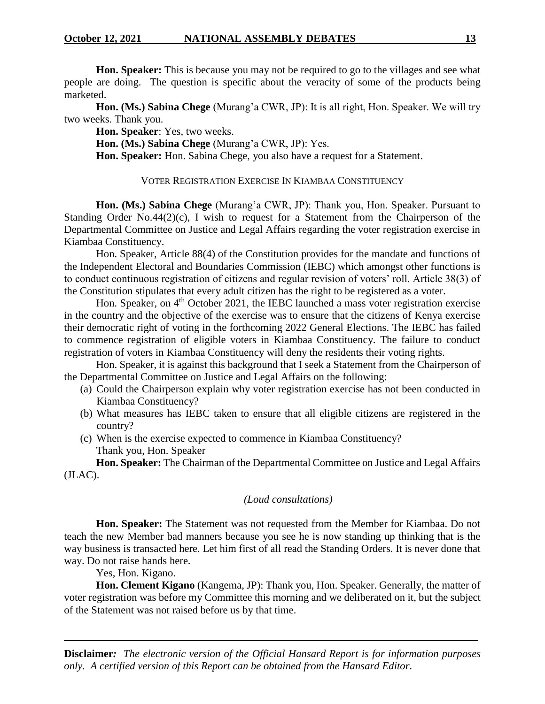**Hon. Speaker:** This is because you may not be required to go to the villages and see what people are doing. The question is specific about the veracity of some of the products being marketed.

**Hon. (Ms.) Sabina Chege** (Murang'a CWR, JP): It is all right, Hon. Speaker. We will try two weeks. Thank you.

**Hon. Speaker**: Yes, two weeks.

**Hon. (Ms.) Sabina Chege** (Murang'a CWR, JP): Yes.

**Hon. Speaker:** Hon. Sabina Chege, you also have a request for a Statement.

## VOTER REGISTRATION EXERCISE IN KIAMBAA CONSTITUENCY

**Hon. (Ms.) Sabina Chege** (Murang'a CWR, JP): Thank you, Hon. Speaker. Pursuant to Standing Order No.44(2)(c), I wish to request for a Statement from the Chairperson of the Departmental Committee on Justice and Legal Affairs regarding the voter registration exercise in Kiambaa Constituency.

Hon. Speaker, Article 88(4) of the Constitution provides for the mandate and functions of the Independent Electoral and Boundaries Commission (IEBC) which amongst other functions is to conduct continuous registration of citizens and regular revision of voters' roll. Article 38(3) of the Constitution stipulates that every adult citizen has the right to be registered as a voter.

Hon. Speaker, on 4<sup>th</sup> October 2021, the IEBC launched a mass voter registration exercise in the country and the objective of the exercise was to ensure that the citizens of Kenya exercise their democratic right of voting in the forthcoming 2022 General Elections. The IEBC has failed to commence registration of eligible voters in Kiambaa Constituency. The failure to conduct registration of voters in Kiambaa Constituency will deny the residents their voting rights.

Hon. Speaker, it is against this background that I seek a Statement from the Chairperson of the Departmental Committee on Justice and Legal Affairs on the following:

- (a) Could the Chairperson explain why voter registration exercise has not been conducted in Kiambaa Constituency?
- (b) What measures has IEBC taken to ensure that all eligible citizens are registered in the country?
- (c) When is the exercise expected to commence in Kiambaa Constituency? Thank you, Hon. Speaker

**Hon. Speaker:** The Chairman of the Departmental Committee on Justice and Legal Affairs (JLAC).

## *(Loud consultations)*

**Hon. Speaker:** The Statement was not requested from the Member for Kiambaa. Do not teach the new Member bad manners because you see he is now standing up thinking that is the way business is transacted here. Let him first of all read the Standing Orders. It is never done that way. Do not raise hands here.

Yes, Hon. Kigano.

**Hon. Clement Kigano** (Kangema, JP): Thank you, Hon. Speaker. Generally, the matter of voter registration was before my Committee this morning and we deliberated on it, but the subject of the Statement was not raised before us by that time.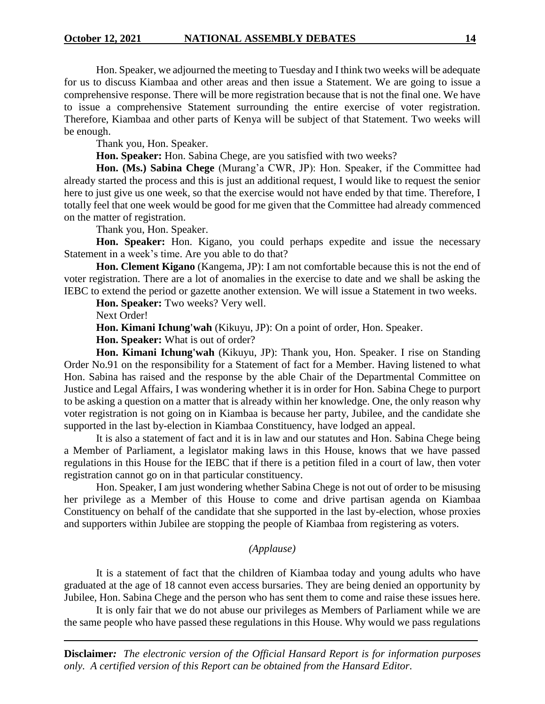Hon. Speaker, we adjourned the meeting to Tuesday and I think two weeks will be adequate for us to discuss Kiambaa and other areas and then issue a Statement. We are going to issue a comprehensive response. There will be more registration because that is not the final one. We have to issue a comprehensive Statement surrounding the entire exercise of voter registration. Therefore, Kiambaa and other parts of Kenya will be subject of that Statement. Two weeks will be enough.

Thank you, Hon. Speaker.

**Hon. Speaker:** Hon. Sabina Chege, are you satisfied with two weeks?

**Hon. (Ms.) Sabina Chege** (Murang'a CWR, JP): Hon. Speaker, if the Committee had already started the process and this is just an additional request, I would like to request the senior here to just give us one week, so that the exercise would not have ended by that time. Therefore, I totally feel that one week would be good for me given that the Committee had already commenced on the matter of registration.

Thank you, Hon. Speaker.

**Hon. Speaker:** Hon. Kigano, you could perhaps expedite and issue the necessary Statement in a week's time. Are you able to do that?

**Hon. Clement Kigano** (Kangema, JP): I am not comfortable because this is not the end of voter registration. There are a lot of anomalies in the exercise to date and we shall be asking the IEBC to extend the period or gazette another extension. We will issue a Statement in two weeks.

**Hon. Speaker:** Two weeks? Very well.

Next Order!

**Hon. Kimani Ichung'wah** (Kikuyu, JP): On a point of order, Hon. Speaker.

**Hon. Speaker:** What is out of order?

**Hon. Kimani Ichung'wah** (Kikuyu, JP): Thank you, Hon. Speaker. I rise on Standing Order No.91 on the responsibility for a Statement of fact for a Member. Having listened to what Hon. Sabina has raised and the response by the able Chair of the Departmental Committee on Justice and Legal Affairs, I was wondering whether it is in order for Hon. Sabina Chege to purport to be asking a question on a matter that is already within her knowledge. One, the only reason why voter registration is not going on in Kiambaa is because her party, Jubilee, and the candidate she supported in the last by-election in Kiambaa Constituency, have lodged an appeal.

It is also a statement of fact and it is in law and our statutes and Hon. Sabina Chege being a Member of Parliament, a legislator making laws in this House, knows that we have passed regulations in this House for the IEBC that if there is a petition filed in a court of law, then voter registration cannot go on in that particular constituency.

Hon. Speaker, I am just wondering whether Sabina Chege is not out of order to be misusing her privilege as a Member of this House to come and drive partisan agenda on Kiambaa Constituency on behalf of the candidate that she supported in the last by-election, whose proxies and supporters within Jubilee are stopping the people of Kiambaa from registering as voters.

## *(Applause)*

It is a statement of fact that the children of Kiambaa today and young adults who have graduated at the age of 18 cannot even access bursaries. They are being denied an opportunity by Jubilee, Hon. Sabina Chege and the person who has sent them to come and raise these issues here.

It is only fair that we do not abuse our privileges as Members of Parliament while we are the same people who have passed these regulations in this House. Why would we pass regulations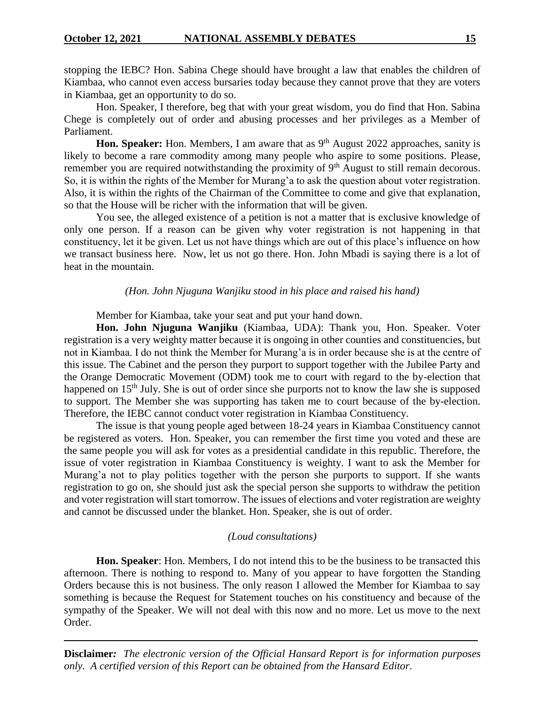stopping the IEBC? Hon. Sabina Chege should have brought a law that enables the children of Kiambaa, who cannot even access bursaries today because they cannot prove that they are voters in Kiambaa, get an opportunity to do so.

Hon. Speaker, I therefore, beg that with your great wisdom, you do find that Hon. Sabina Chege is completely out of order and abusing processes and her privileges as a Member of Parliament.

Hon. Speaker: Hon. Members, I am aware that as 9<sup>th</sup> August 2022 approaches, sanity is likely to become a rare commodity among many people who aspire to some positions. Please, remember you are required notwithstanding the proximity of  $9<sup>th</sup>$  August to still remain decorous. So, it is within the rights of the Member for Murang'a to ask the question about voter registration. Also, it is within the rights of the Chairman of the Committee to come and give that explanation, so that the House will be richer with the information that will be given.

You see, the alleged existence of a petition is not a matter that is exclusive knowledge of only one person. If a reason can be given why voter registration is not happening in that constituency, let it be given. Let us not have things which are out of this place's influence on how we transact business here. Now, let us not go there. Hon. John Mbadi is saying there is a lot of heat in the mountain.

#### *(Hon. John Njuguna Wanjiku stood in his place and raised his hand)*

Member for Kiambaa, take your seat and put your hand down.

**Hon. John Njuguna Wanjiku** (Kiambaa, UDA): Thank you, Hon. Speaker. Voter registration is a very weighty matter because it is ongoing in other counties and constituencies, but not in Kiambaa. I do not think the Member for Murang'a is in order because she is at the centre of this issue. The Cabinet and the person they purport to support together with the Jubilee Party and the Orange Democratic Movement (ODM) took me to court with regard to the by-election that happened on 15<sup>th</sup> July. She is out of order since she purports not to know the law she is supposed to support. The Member she was supporting has taken me to court because of the by-election. Therefore, the IEBC cannot conduct voter registration in Kiambaa Constituency.

The issue is that young people aged between 18-24 years in Kiambaa Constituency cannot be registered as voters. Hon. Speaker, you can remember the first time you voted and these are the same people you will ask for votes as a presidential candidate in this republic. Therefore, the issue of voter registration in Kiambaa Constituency is weighty. I want to ask the Member for Murang'a not to play politics together with the person she purports to support. If she wants registration to go on, she should just ask the special person she supports to withdraw the petition and voter registration will start tomorrow. The issues of elections and voter registration are weighty and cannot be discussed under the blanket. Hon. Speaker, she is out of order.

#### *(Loud consultations)*

**Hon. Speaker**: Hon. Members, I do not intend this to be the business to be transacted this afternoon. There is nothing to respond to. Many of you appear to have forgotten the Standing Orders because this is not business. The only reason I allowed the Member for Kiambaa to say something is because the Request for Statement touches on his constituency and because of the sympathy of the Speaker. We will not deal with this now and no more. Let us move to the next Order.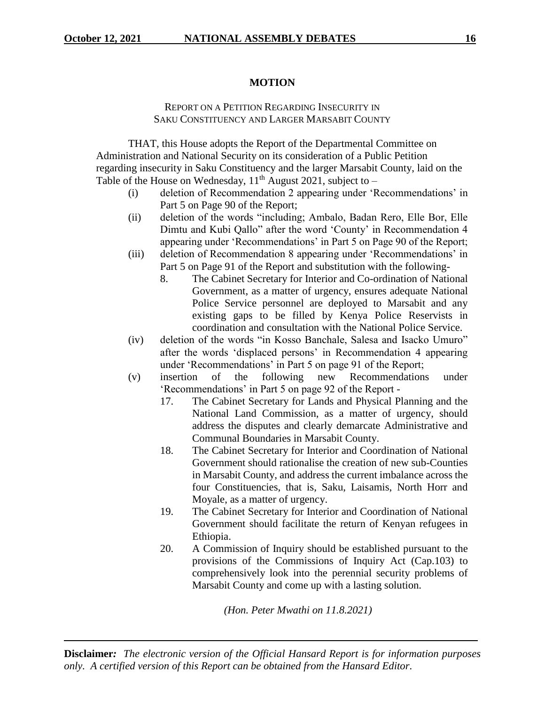## **MOTION**

## REPORT ON A PETITION REGARDING INSECURITY IN SAKU CONSTITUENCY AND LARGER MARSABIT COUNTY

THAT, this House adopts the Report of the Departmental Committee on Administration and National Security on its consideration of a Public Petition regarding insecurity in Saku Constituency and the larger Marsabit County, laid on the Table of the House on Wednesday,  $11<sup>th</sup>$  August 2021, subject to –

- (i) deletion of Recommendation 2 appearing under 'Recommendations' in Part 5 on Page 90 of the Report;
- (ii) deletion of the words "including; Ambalo, Badan Rero, Elle Bor, Elle Dimtu and Kubi Qallo" after the word 'County' in Recommendation 4 appearing under 'Recommendations' in Part 5 on Page 90 of the Report;
- (iii) deletion of Recommendation 8 appearing under 'Recommendations' in Part 5 on Page 91 of the Report and substitution with the following-
	- 8. The Cabinet Secretary for Interior and Co-ordination of National Government, as a matter of urgency, ensures adequate National Police Service personnel are deployed to Marsabit and any existing gaps to be filled by Kenya Police Reservists in coordination and consultation with the National Police Service.
- (iv) deletion of the words "in Kosso Banchale, Salesa and Isacko Umuro" after the words 'displaced persons' in Recommendation 4 appearing under 'Recommendations' in Part 5 on page 91 of the Report;
- (v) insertion of the following new Recommendations under 'Recommendations' in Part 5 on page 92 of the Report -
	- 17. The Cabinet Secretary for Lands and Physical Planning and the National Land Commission, as a matter of urgency, should address the disputes and clearly demarcate Administrative and Communal Boundaries in Marsabit County.
	- 18. The Cabinet Secretary for Interior and Coordination of National Government should rationalise the creation of new sub-Counties in Marsabit County, and address the current imbalance across the four Constituencies, that is, Saku, Laisamis, North Horr and Moyale, as a matter of urgency.
	- 19. The Cabinet Secretary for Interior and Coordination of National Government should facilitate the return of Kenyan refugees in Ethiopia.
	- 20. A Commission of Inquiry should be established pursuant to the provisions of the Commissions of Inquiry Act (Cap.103) to comprehensively look into the perennial security problems of Marsabit County and come up with a lasting solution.

*(Hon. Peter Mwathi on 11.8.2021)*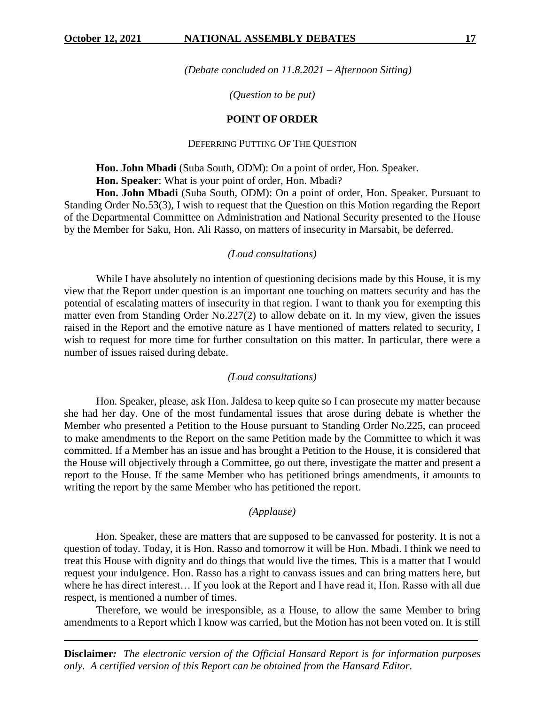*(Debate concluded on 11.8.2021 – Afternoon Sitting)*

## *(Question to be put)*

## **POINT OF ORDER**

## DEFERRING PUTTING OF THE QUESTION

**Hon. John Mbadi** (Suba South, ODM): On a point of order, Hon. Speaker. **Hon. Speaker**: What is your point of order, Hon. Mbadi?

**Hon. John Mbadi** (Suba South, ODM): On a point of order, Hon. Speaker. Pursuant to Standing Order No.53(3), I wish to request that the Question on this Motion regarding the Report of the Departmental Committee on Administration and National Security presented to the House by the Member for Saku, Hon. Ali Rasso, on matters of insecurity in Marsabit, be deferred.

#### *(Loud consultations)*

While I have absolutely no intention of questioning decisions made by this House, it is my view that the Report under question is an important one touching on matters security and has the potential of escalating matters of insecurity in that region. I want to thank you for exempting this matter even from Standing Order No.227(2) to allow debate on it. In my view, given the issues raised in the Report and the emotive nature as I have mentioned of matters related to security, I wish to request for more time for further consultation on this matter. In particular, there were a number of issues raised during debate.

## *(Loud consultations)*

Hon. Speaker, please, ask Hon. Jaldesa to keep quite so I can prosecute my matter because she had her day. One of the most fundamental issues that arose during debate is whether the Member who presented a Petition to the House pursuant to Standing Order No.225, can proceed to make amendments to the Report on the same Petition made by the Committee to which it was committed. If a Member has an issue and has brought a Petition to the House, it is considered that the House will objectively through a Committee, go out there, investigate the matter and present a report to the House. If the same Member who has petitioned brings amendments, it amounts to writing the report by the same Member who has petitioned the report.

#### *(Applause)*

Hon. Speaker, these are matters that are supposed to be canvassed for posterity. It is not a question of today. Today, it is Hon. Rasso and tomorrow it will be Hon. Mbadi. I think we need to treat this House with dignity and do things that would live the times. This is a matter that I would request your indulgence. Hon. Rasso has a right to canvass issues and can bring matters here, but where he has direct interest… If you look at the Report and I have read it, Hon. Rasso with all due respect, is mentioned a number of times.

Therefore, we would be irresponsible, as a House, to allow the same Member to bring amendments to a Report which I know was carried, but the Motion has not been voted on. It is still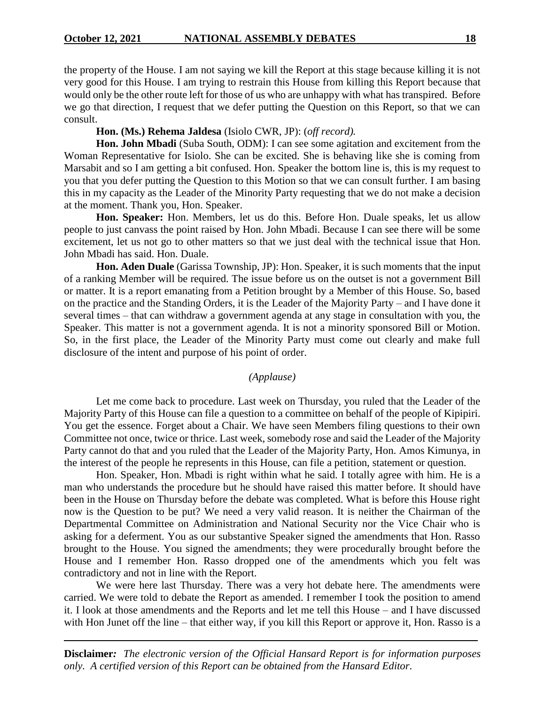the property of the House. I am not saying we kill the Report at this stage because killing it is not very good for this House. I am trying to restrain this House from killing this Report because that would only be the other route left for those of us who are unhappy with what has transpired. Before we go that direction, I request that we defer putting the Question on this Report, so that we can consult.

## **Hon. (Ms.) Rehema Jaldesa** (Isiolo CWR, JP): (*off record).*

**Hon. John Mbadi** (Suba South, ODM): I can see some agitation and excitement from the Woman Representative for Isiolo. She can be excited. She is behaving like she is coming from Marsabit and so I am getting a bit confused. Hon. Speaker the bottom line is, this is my request to you that you defer putting the Question to this Motion so that we can consult further. I am basing this in my capacity as the Leader of the Minority Party requesting that we do not make a decision at the moment. Thank you, Hon. Speaker.

**Hon. Speaker:** Hon. Members, let us do this. Before Hon. Duale speaks, let us allow people to just canvass the point raised by Hon. John Mbadi. Because I can see there will be some excitement, let us not go to other matters so that we just deal with the technical issue that Hon. John Mbadi has said. Hon. Duale.

**Hon. Aden Duale** (Garissa Township, JP): Hon. Speaker, it is such moments that the input of a ranking Member will be required. The issue before us on the outset is not a government Bill or matter. It is a report emanating from a Petition brought by a Member of this House. So, based on the practice and the Standing Orders, it is the Leader of the Majority Party – and I have done it several times – that can withdraw a government agenda at any stage in consultation with you, the Speaker. This matter is not a government agenda. It is not a minority sponsored Bill or Motion. So, in the first place, the Leader of the Minority Party must come out clearly and make full disclosure of the intent and purpose of his point of order.

## *(Applause)*

Let me come back to procedure. Last week on Thursday, you ruled that the Leader of the Majority Party of this House can file a question to a committee on behalf of the people of Kipipiri. You get the essence. Forget about a Chair. We have seen Members filing questions to their own Committee not once, twice or thrice. Last week, somebody rose and said the Leader of the Majority Party cannot do that and you ruled that the Leader of the Majority Party, Hon. Amos Kimunya, in the interest of the people he represents in this House, can file a petition, statement or question.

Hon. Speaker, Hon. Mbadi is right within what he said. I totally agree with him. He is a man who understands the procedure but he should have raised this matter before. It should have been in the House on Thursday before the debate was completed. What is before this House right now is the Question to be put? We need a very valid reason. It is neither the Chairman of the Departmental Committee on Administration and National Security nor the Vice Chair who is asking for a deferment. You as our substantive Speaker signed the amendments that Hon. Rasso brought to the House. You signed the amendments; they were procedurally brought before the House and I remember Hon. Rasso dropped one of the amendments which you felt was contradictory and not in line with the Report.

We were here last Thursday. There was a very hot debate here. The amendments were carried. We were told to debate the Report as amended. I remember I took the position to amend it. I look at those amendments and the Reports and let me tell this House – and I have discussed with Hon Junet off the line – that either way, if you kill this Report or approve it, Hon. Rasso is a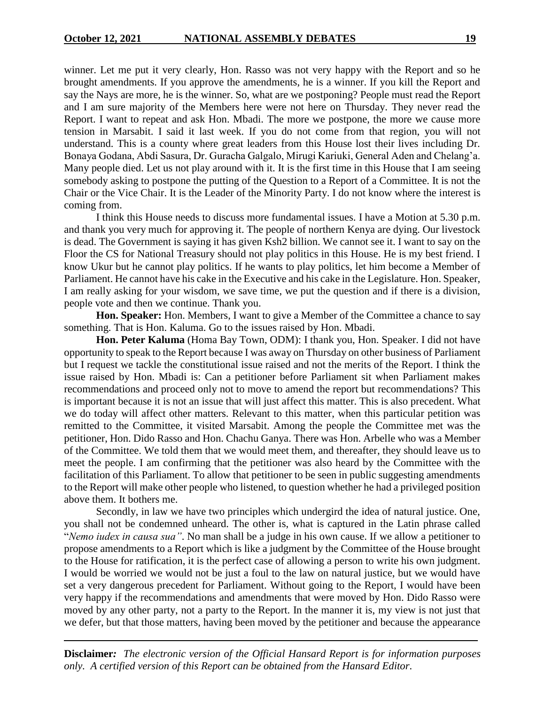winner. Let me put it very clearly, Hon. Rasso was not very happy with the Report and so he brought amendments. If you approve the amendments, he is a winner. If you kill the Report and say the Nays are more, he is the winner. So, what are we postponing? People must read the Report and I am sure majority of the Members here were not here on Thursday. They never read the Report. I want to repeat and ask Hon. Mbadi. The more we postpone, the more we cause more tension in Marsabit. I said it last week. If you do not come from that region, you will not understand. This is a county where great leaders from this House lost their lives including Dr. Bonaya Godana, Abdi Sasura, Dr. Guracha Galgalo, Mirugi Kariuki, General Aden and Chelang'a. Many people died. Let us not play around with it. It is the first time in this House that I am seeing somebody asking to postpone the putting of the Question to a Report of a Committee. It is not the Chair or the Vice Chair. It is the Leader of the Minority Party. I do not know where the interest is coming from.

I think this House needs to discuss more fundamental issues. I have a Motion at 5.30 p.m. and thank you very much for approving it. The people of northern Kenya are dying. Our livestock is dead. The Government is saying it has given Ksh2 billion. We cannot see it. I want to say on the Floor the CS for National Treasury should not play politics in this House. He is my best friend. I know Ukur but he cannot play politics. If he wants to play politics, let him become a Member of Parliament. He cannot have his cake in the Executive and his cake in the Legislature. Hon. Speaker, I am really asking for your wisdom, we save time, we put the question and if there is a division, people vote and then we continue. Thank you.

**Hon. Speaker:** Hon. Members, I want to give a Member of the Committee a chance to say something. That is Hon. Kaluma. Go to the issues raised by Hon. Mbadi.

**Hon. Peter Kaluma** (Homa Bay Town, ODM): I thank you, Hon. Speaker. I did not have opportunity to speak to the Report because I was away on Thursday on other business of Parliament but I request we tackle the constitutional issue raised and not the merits of the Report. I think the issue raised by Hon. Mbadi is: Can a petitioner before Parliament sit when Parliament makes recommendations and proceed only not to move to amend the report but recommendations? This is important because it is not an issue that will just affect this matter. This is also precedent. What we do today will affect other matters. Relevant to this matter, when this particular petition was remitted to the Committee, it visited Marsabit. Among the people the Committee met was the petitioner, Hon. Dido Rasso and Hon. Chachu Ganya. There was Hon. Arbelle who was a Member of the Committee. We told them that we would meet them, and thereafter, they should leave us to meet the people. I am confirming that the petitioner was also heard by the Committee with the facilitation of this Parliament. To allow that petitioner to be seen in public suggesting amendments to the Report will make other people who listened, to question whether he had a privileged position above them. It bothers me.

Secondly, in law we have two principles which undergird the idea of natural justice. One, you shall not be condemned unheard. The other is, what is captured in the Latin phrase called "*Nemo iudex in causa sua"*. No man shall be a judge in his own cause. If we allow a petitioner to propose amendments to a Report which is like a judgment by the Committee of the House brought to the House for ratification, it is the perfect case of allowing a person to write his own judgment. I would be worried we would not be just a foul to the law on natural justice, but we would have set a very dangerous precedent for Parliament. Without going to the Report, I would have been very happy if the recommendations and amendments that were moved by Hon. Dido Rasso were moved by any other party, not a party to the Report. In the manner it is, my view is not just that we defer, but that those matters, having been moved by the petitioner and because the appearance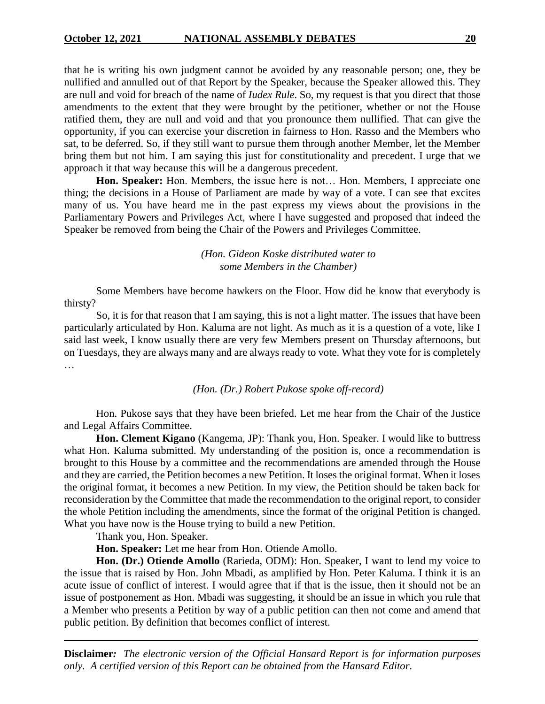that he is writing his own judgment cannot be avoided by any reasonable person; one, they be nullified and annulled out of that Report by the Speaker, because the Speaker allowed this. They are null and void for breach of the name of *Iudex Rule*. So, my request is that you direct that those amendments to the extent that they were brought by the petitioner, whether or not the House ratified them, they are null and void and that you pronounce them nullified. That can give the opportunity, if you can exercise your discretion in fairness to Hon. Rasso and the Members who sat, to be deferred. So, if they still want to pursue them through another Member, let the Member bring them but not him. I am saying this just for constitutionality and precedent. I urge that we approach it that way because this will be a dangerous precedent.

**Hon. Speaker:** Hon. Members, the issue here is not… Hon. Members, I appreciate one thing; the decisions in a House of Parliament are made by way of a vote. I can see that excites many of us. You have heard me in the past express my views about the provisions in the Parliamentary Powers and Privileges Act, where I have suggested and proposed that indeed the Speaker be removed from being the Chair of the Powers and Privileges Committee.

> *(Hon. Gideon Koske distributed water to some Members in the Chamber)*

Some Members have become hawkers on the Floor. How did he know that everybody is thirsty?

So, it is for that reason that I am saying, this is not a light matter. The issues that have been particularly articulated by Hon. Kaluma are not light. As much as it is a question of a vote, like I said last week, I know usually there are very few Members present on Thursday afternoons, but on Tuesdays, they are always many and are always ready to vote. What they vote for is completely …

#### *(Hon. (Dr.) Robert Pukose spoke off-record)*

Hon. Pukose says that they have been briefed. Let me hear from the Chair of the Justice and Legal Affairs Committee.

**Hon. Clement Kigano** (Kangema, JP): Thank you, Hon. Speaker. I would like to buttress what Hon. Kaluma submitted. My understanding of the position is, once a recommendation is brought to this House by a committee and the recommendations are amended through the House and they are carried, the Petition becomes a new Petition. It loses the original format. When it loses the original format, it becomes a new Petition. In my view, the Petition should be taken back for reconsideration by the Committee that made the recommendation to the original report, to consider the whole Petition including the amendments, since the format of the original Petition is changed. What you have now is the House trying to build a new Petition.

Thank you, Hon. Speaker.

**Hon. Speaker:** Let me hear from Hon. Otiende Amollo.

**Hon. (Dr.) Otiende Amollo** (Rarieda, ODM): Hon. Speaker, I want to lend my voice to the issue that is raised by Hon. John Mbadi, as amplified by Hon. Peter Kaluma. I think it is an acute issue of conflict of interest. I would agree that if that is the issue, then it should not be an issue of postponement as Hon. Mbadi was suggesting, it should be an issue in which you rule that a Member who presents a Petition by way of a public petition can then not come and amend that public petition. By definition that becomes conflict of interest.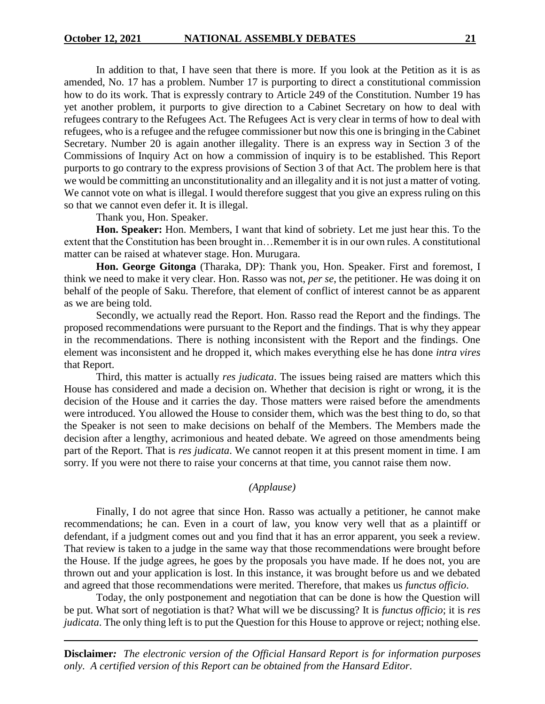In addition to that, I have seen that there is more. If you look at the Petition as it is as amended, No. 17 has a problem. Number 17 is purporting to direct a constitutional commission how to do its work. That is expressly contrary to Article 249 of the Constitution. Number 19 has yet another problem, it purports to give direction to a Cabinet Secretary on how to deal with refugees contrary to the Refugees Act. The Refugees Act is very clear in terms of how to deal with refugees, who is a refugee and the refugee commissioner but now this one is bringing in the Cabinet Secretary. Number 20 is again another illegality. There is an express way in Section 3 of the Commissions of Inquiry Act on how a commission of inquiry is to be established. This Report purports to go contrary to the express provisions of Section 3 of that Act. The problem here is that we would be committing an unconstitutionality and an illegality and it is not just a matter of voting. We cannot vote on what is illegal. I would therefore suggest that you give an express ruling on this so that we cannot even defer it. It is illegal.

Thank you, Hon. Speaker.

**Hon. Speaker:** Hon. Members, I want that kind of sobriety. Let me just hear this. To the extent that the Constitution has been brought in…Remember it is in our own rules. A constitutional matter can be raised at whatever stage. Hon. Murugara.

**Hon. George Gitonga** (Tharaka, DP): Thank you, Hon. Speaker. First and foremost, I think we need to make it very clear. Hon. Rasso was not, *per se*, the petitioner. He was doing it on behalf of the people of Saku. Therefore, that element of conflict of interest cannot be as apparent as we are being told.

Secondly, we actually read the Report. Hon. Rasso read the Report and the findings. The proposed recommendations were pursuant to the Report and the findings. That is why they appear in the recommendations. There is nothing inconsistent with the Report and the findings. One element was inconsistent and he dropped it, which makes everything else he has done *intra vires* that Report.

Third, this matter is actually *res judicata*. The issues being raised are matters which this House has considered and made a decision on. Whether that decision is right or wrong, it is the decision of the House and it carries the day. Those matters were raised before the amendments were introduced. You allowed the House to consider them, which was the best thing to do, so that the Speaker is not seen to make decisions on behalf of the Members. The Members made the decision after a lengthy, acrimonious and heated debate. We agreed on those amendments being part of the Report. That is *res judicata*. We cannot reopen it at this present moment in time. I am sorry. If you were not there to raise your concerns at that time, you cannot raise them now.

## *(Applause)*

Finally, I do not agree that since Hon. Rasso was actually a petitioner, he cannot make recommendations; he can. Even in a court of law, you know very well that as a plaintiff or defendant, if a judgment comes out and you find that it has an error apparent, you seek a review. That review is taken to a judge in the same way that those recommendations were brought before the House. If the judge agrees, he goes by the proposals you have made. If he does not, you are thrown out and your application is lost. In this instance, it was brought before us and we debated and agreed that those recommendations were merited. Therefore, that makes us *functus officio*.

Today, the only postponement and negotiation that can be done is how the Question will be put. What sort of negotiation is that? What will we be discussing? It is *functus officio*; it is *res judicata*. The only thing left is to put the Question for this House to approve or reject; nothing else.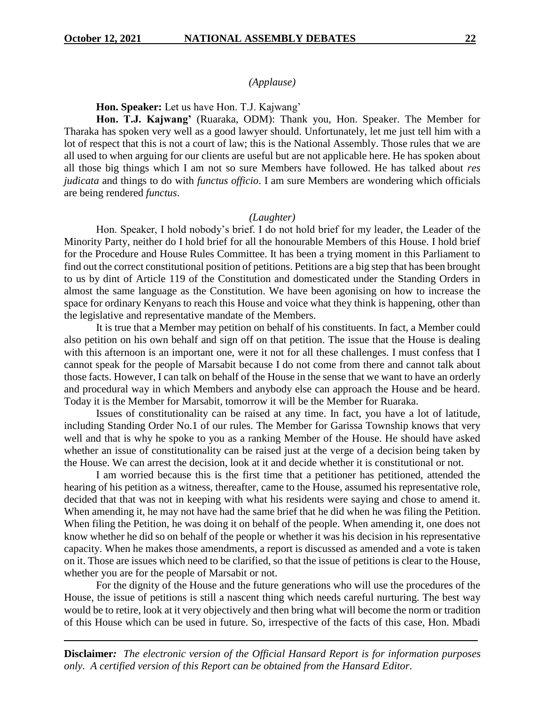## *(Applause)*

**Hon. Speaker:** Let us have Hon. T.J. Kajwang'

**Hon. T.J. Kajwang'** (Ruaraka, ODM): Thank you, Hon. Speaker. The Member for Tharaka has spoken very well as a good lawyer should. Unfortunately, let me just tell him with a lot of respect that this is not a court of law; this is the National Assembly. Those rules that we are all used to when arguing for our clients are useful but are not applicable here. He has spoken about all those big things which I am not so sure Members have followed. He has talked about *res judicata* and things to do with *functus officio*. I am sure Members are wondering which officials are being rendered *functus*.

#### *(Laughter)*

Hon. Speaker, I hold nobody's brief. I do not hold brief for my leader, the Leader of the Minority Party, neither do I hold brief for all the honourable Members of this House. I hold brief for the Procedure and House Rules Committee. It has been a trying moment in this Parliament to find out the correct constitutional position of petitions. Petitions are a big step that has been brought to us by dint of Article 119 of the Constitution and domesticated under the Standing Orders in almost the same language as the Constitution. We have been agonising on how to increase the space for ordinary Kenyans to reach this House and voice what they think is happening, other than the legislative and representative mandate of the Members.

It is true that a Member may petition on behalf of his constituents. In fact, a Member could also petition on his own behalf and sign off on that petition. The issue that the House is dealing with this afternoon is an important one, were it not for all these challenges. I must confess that I cannot speak for the people of Marsabit because I do not come from there and cannot talk about those facts. However, I can talk on behalf of the House in the sense that we want to have an orderly and procedural way in which Members and anybody else can approach the House and be heard. Today it is the Member for Marsabit, tomorrow it will be the Member for Ruaraka.

Issues of constitutionality can be raised at any time. In fact, you have a lot of latitude, including Standing Order No.1 of our rules. The Member for Garissa Township knows that very well and that is why he spoke to you as a ranking Member of the House. He should have asked whether an issue of constitutionality can be raised just at the verge of a decision being taken by the House. We can arrest the decision, look at it and decide whether it is constitutional or not.

I am worried because this is the first time that a petitioner has petitioned, attended the hearing of his petition as a witness, thereafter, came to the House, assumed his representative role, decided that that was not in keeping with what his residents were saying and chose to amend it. When amending it, he may not have had the same brief that he did when he was filing the Petition. When filing the Petition, he was doing it on behalf of the people. When amending it, one does not know whether he did so on behalf of the people or whether it was his decision in his representative capacity. When he makes those amendments, a report is discussed as amended and a vote is taken on it. Those are issues which need to be clarified, so that the issue of petitions is clear to the House, whether you are for the people of Marsabit or not.

For the dignity of the House and the future generations who will use the procedures of the House, the issue of petitions is still a nascent thing which needs careful nurturing. The best way would be to retire, look at it very objectively and then bring what will become the norm or tradition of this House which can be used in future. So, irrespective of the facts of this case, Hon. Mbadi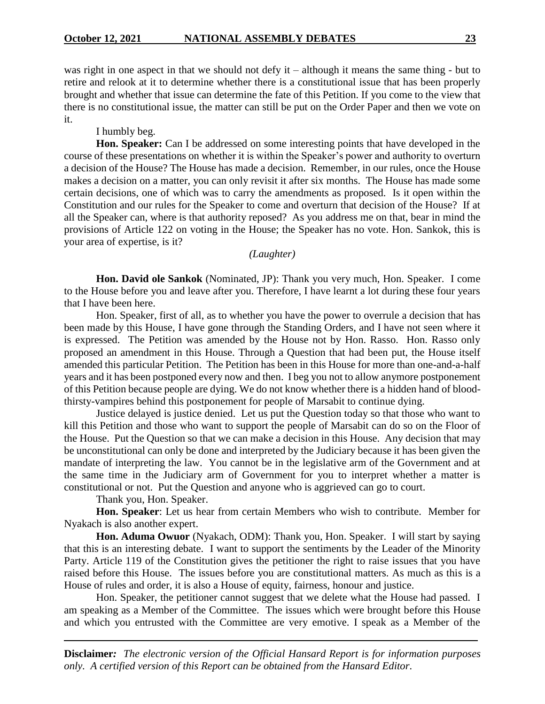was right in one aspect in that we should not defy it – although it means the same thing - but to retire and relook at it to determine whether there is a constitutional issue that has been properly brought and whether that issue can determine the fate of this Petition. If you come to the view that there is no constitutional issue, the matter can still be put on the Order Paper and then we vote on it.

I humbly beg.

**Hon. Speaker:** Can I be addressed on some interesting points that have developed in the course of these presentations on whether it is within the Speaker's power and authority to overturn a decision of the House? The House has made a decision. Remember, in our rules, once the House makes a decision on a matter, you can only revisit it after six months. The House has made some certain decisions, one of which was to carry the amendments as proposed. Is it open within the Constitution and our rules for the Speaker to come and overturn that decision of the House? If at all the Speaker can, where is that authority reposed? As you address me on that, bear in mind the provisions of Article 122 on voting in the House; the Speaker has no vote. Hon. Sankok, this is your area of expertise, is it?

*(Laughter)*

**Hon. David ole Sankok** (Nominated, JP): Thank you very much, Hon. Speaker. I come to the House before you and leave after you. Therefore, I have learnt a lot during these four years that I have been here.

Hon. Speaker, first of all, as to whether you have the power to overrule a decision that has been made by this House, I have gone through the Standing Orders, and I have not seen where it is expressed. The Petition was amended by the House not by Hon. Rasso. Hon. Rasso only proposed an amendment in this House. Through a Question that had been put, the House itself amended this particular Petition. The Petition has been in this House for more than one-and-a-half years and it has been postponed every now and then. I beg you not to allow anymore postponement of this Petition because people are dying. We do not know whether there is a hidden hand of bloodthirsty-vampires behind this postponement for people of Marsabit to continue dying.

Justice delayed is justice denied. Let us put the Question today so that those who want to kill this Petition and those who want to support the people of Marsabit can do so on the Floor of the House. Put the Question so that we can make a decision in this House. Any decision that may be unconstitutional can only be done and interpreted by the Judiciary because it has been given the mandate of interpreting the law. You cannot be in the legislative arm of the Government and at the same time in the Judiciary arm of Government for you to interpret whether a matter is constitutional or not. Put the Question and anyone who is aggrieved can go to court.

Thank you, Hon. Speaker.

**Hon. Speaker**: Let us hear from certain Members who wish to contribute. Member for Nyakach is also another expert.

**Hon. Aduma Owuor** (Nyakach, ODM): Thank you, Hon. Speaker. I will start by saying that this is an interesting debate. I want to support the sentiments by the Leader of the Minority Party. Article 119 of the Constitution gives the petitioner the right to raise issues that you have raised before this House. The issues before you are constitutional matters. As much as this is a House of rules and order, it is also a House of equity, fairness, honour and justice.

Hon. Speaker, the petitioner cannot suggest that we delete what the House had passed. I am speaking as a Member of the Committee. The issues which were brought before this House and which you entrusted with the Committee are very emotive. I speak as a Member of the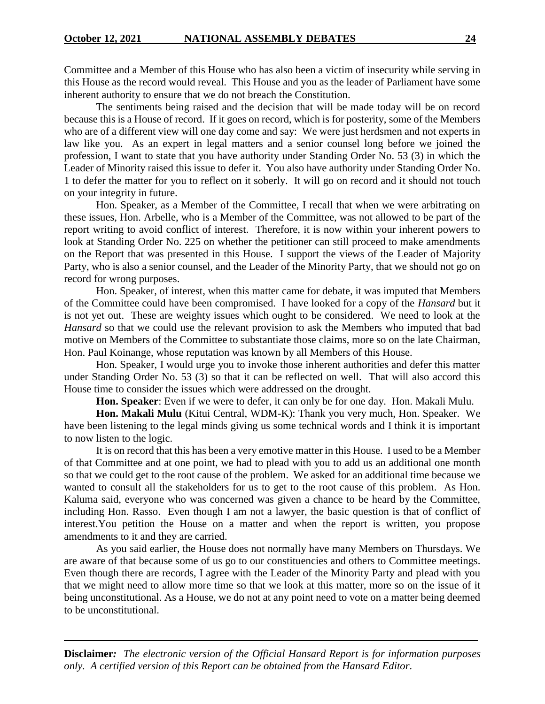Committee and a Member of this House who has also been a victim of insecurity while serving in this House as the record would reveal. This House and you as the leader of Parliament have some inherent authority to ensure that we do not breach the Constitution.

The sentiments being raised and the decision that will be made today will be on record because this is a House of record. If it goes on record, which is for posterity, some of the Members who are of a different view will one day come and say: We were just herdsmen and not experts in law like you. As an expert in legal matters and a senior counsel long before we joined the profession, I want to state that you have authority under Standing Order No. 53 (3) in which the Leader of Minority raised this issue to defer it. You also have authority under Standing Order No. 1 to defer the matter for you to reflect on it soberly. It will go on record and it should not touch on your integrity in future.

Hon. Speaker, as a Member of the Committee, I recall that when we were arbitrating on these issues, Hon. Arbelle, who is a Member of the Committee, was not allowed to be part of the report writing to avoid conflict of interest. Therefore, it is now within your inherent powers to look at Standing Order No. 225 on whether the petitioner can still proceed to make amendments on the Report that was presented in this House. I support the views of the Leader of Majority Party, who is also a senior counsel, and the Leader of the Minority Party, that we should not go on record for wrong purposes.

Hon. Speaker, of interest, when this matter came for debate, it was imputed that Members of the Committee could have been compromised. I have looked for a copy of the *Hansard* but it is not yet out. These are weighty issues which ought to be considered. We need to look at the *Hansard* so that we could use the relevant provision to ask the Members who imputed that bad motive on Members of the Committee to substantiate those claims, more so on the late Chairman, Hon. Paul Koinange, whose reputation was known by all Members of this House.

Hon. Speaker, I would urge you to invoke those inherent authorities and defer this matter under Standing Order No. 53 (3) so that it can be reflected on well. That will also accord this House time to consider the issues which were addressed on the drought.

**Hon. Speaker**: Even if we were to defer, it can only be for one day. Hon. Makali Mulu.

**Hon. Makali Mulu** (Kitui Central, WDM-K): Thank you very much, Hon. Speaker. We have been listening to the legal minds giving us some technical words and I think it is important to now listen to the logic.

It is on record that this has been a very emotive matter in this House. I used to be a Member of that Committee and at one point, we had to plead with you to add us an additional one month so that we could get to the root cause of the problem. We asked for an additional time because we wanted to consult all the stakeholders for us to get to the root cause of this problem. As Hon. Kaluma said, everyone who was concerned was given a chance to be heard by the Committee, including Hon. Rasso. Even though I am not a lawyer, the basic question is that of conflict of interest.You petition the House on a matter and when the report is written, you propose amendments to it and they are carried.

As you said earlier, the House does not normally have many Members on Thursdays. We are aware of that because some of us go to our constituencies and others to Committee meetings. Even though there are records, I agree with the Leader of the Minority Party and plead with you that we might need to allow more time so that we look at this matter, more so on the issue of it being unconstitutional. As a House, we do not at any point need to vote on a matter being deemed to be unconstitutional.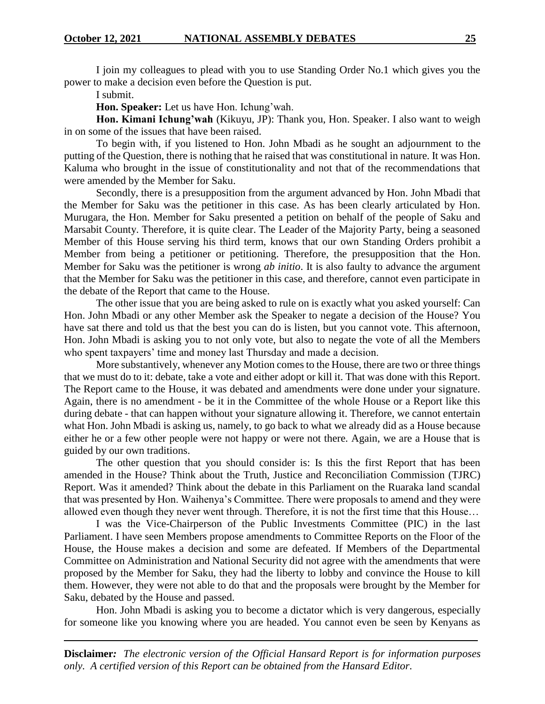I join my colleagues to plead with you to use Standing Order No.1 which gives you the power to make a decision even before the Question is put.

I submit.

**Hon. Speaker:** Let us have Hon. Ichung'wah.

**Hon. Kimani Ichung'wah** (Kikuyu, JP): Thank you, Hon. Speaker. I also want to weigh in on some of the issues that have been raised.

To begin with, if you listened to Hon. John Mbadi as he sought an adjournment to the putting of the Question, there is nothing that he raised that was constitutional in nature. It was Hon. Kaluma who brought in the issue of constitutionality and not that of the recommendations that were amended by the Member for Saku.

Secondly, there is a presupposition from the argument advanced by Hon. John Mbadi that the Member for Saku was the petitioner in this case. As has been clearly articulated by Hon. Murugara, the Hon. Member for Saku presented a petition on behalf of the people of Saku and Marsabit County. Therefore, it is quite clear. The Leader of the Majority Party, being a seasoned Member of this House serving his third term, knows that our own Standing Orders prohibit a Member from being a petitioner or petitioning. Therefore, the presupposition that the Hon. Member for Saku was the petitioner is wrong *ab initio*. It is also faulty to advance the argument that the Member for Saku was the petitioner in this case, and therefore, cannot even participate in the debate of the Report that came to the House.

The other issue that you are being asked to rule on is exactly what you asked yourself: Can Hon. John Mbadi or any other Member ask the Speaker to negate a decision of the House? You have sat there and told us that the best you can do is listen, but you cannot vote. This afternoon, Hon. John Mbadi is asking you to not only vote, but also to negate the vote of all the Members who spent taxpayers' time and money last Thursday and made a decision.

More substantively, whenever any Motion comes to the House, there are two or three things that we must do to it: debate, take a vote and either adopt or kill it. That was done with this Report. The Report came to the House, it was debated and amendments were done under your signature. Again, there is no amendment - be it in the Committee of the whole House or a Report like this during debate - that can happen without your signature allowing it. Therefore, we cannot entertain what Hon. John Mbadi is asking us, namely, to go back to what we already did as a House because either he or a few other people were not happy or were not there. Again, we are a House that is guided by our own traditions.

The other question that you should consider is: Is this the first Report that has been amended in the House? Think about the Truth, Justice and Reconciliation Commission (TJRC) Report. Was it amended? Think about the debate in this Parliament on the Ruaraka land scandal that was presented by Hon. Waihenya's Committee. There were proposals to amend and they were allowed even though they never went through. Therefore, it is not the first time that this House…

I was the Vice-Chairperson of the Public Investments Committee (PIC) in the last Parliament. I have seen Members propose amendments to Committee Reports on the Floor of the House, the House makes a decision and some are defeated. If Members of the Departmental Committee on Administration and National Security did not agree with the amendments that were proposed by the Member for Saku, they had the liberty to lobby and convince the House to kill them. However, they were not able to do that and the proposals were brought by the Member for Saku, debated by the House and passed.

Hon. John Mbadi is asking you to become a dictator which is very dangerous, especially for someone like you knowing where you are headed. You cannot even be seen by Kenyans as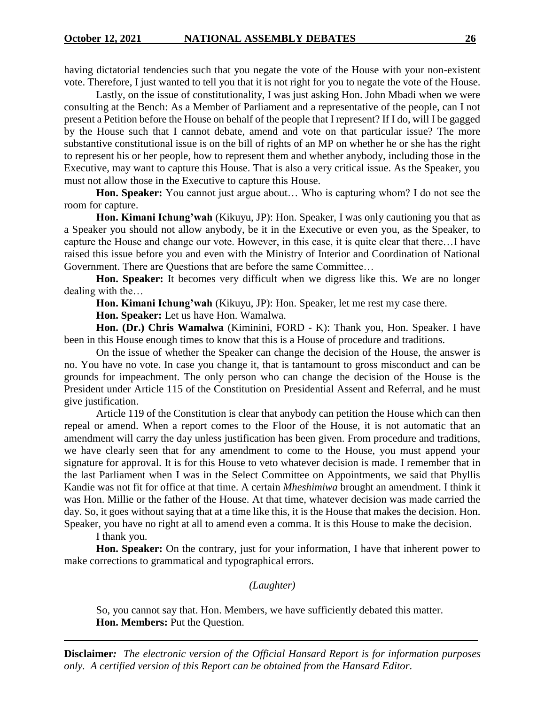having dictatorial tendencies such that you negate the vote of the House with your non-existent vote. Therefore, I just wanted to tell you that it is not right for you to negate the vote of the House.

Lastly, on the issue of constitutionality, I was just asking Hon. John Mbadi when we were consulting at the Bench: As a Member of Parliament and a representative of the people, can I not present a Petition before the House on behalf of the people that I represent? If I do, will I be gagged by the House such that I cannot debate, amend and vote on that particular issue? The more substantive constitutional issue is on the bill of rights of an MP on whether he or she has the right to represent his or her people, how to represent them and whether anybody, including those in the Executive, may want to capture this House. That is also a very critical issue. As the Speaker, you must not allow those in the Executive to capture this House.

**Hon. Speaker:** You cannot just argue about… Who is capturing whom? I do not see the room for capture.

**Hon. Kimani Ichung'wah** (Kikuyu, JP): Hon. Speaker, I was only cautioning you that as a Speaker you should not allow anybody, be it in the Executive or even you, as the Speaker, to capture the House and change our vote. However, in this case, it is quite clear that there…I have raised this issue before you and even with the Ministry of Interior and Coordination of National Government. There are Questions that are before the same Committee…

**Hon. Speaker:** It becomes very difficult when we digress like this. We are no longer dealing with the…

**Hon. Kimani Ichung'wah** (Kikuyu, JP): Hon. Speaker, let me rest my case there.

**Hon. Speaker:** Let us have Hon. Wamalwa.

**Hon. (Dr.) Chris Wamalwa** (Kiminini, FORD - K): Thank you, Hon. Speaker. I have been in this House enough times to know that this is a House of procedure and traditions.

On the issue of whether the Speaker can change the decision of the House, the answer is no. You have no vote. In case you change it, that is tantamount to gross misconduct and can be grounds for impeachment. The only person who can change the decision of the House is the President under Article 115 of the Constitution on Presidential Assent and Referral, and he must give justification.

Article 119 of the Constitution is clear that anybody can petition the House which can then repeal or amend. When a report comes to the Floor of the House, it is not automatic that an amendment will carry the day unless justification has been given. From procedure and traditions, we have clearly seen that for any amendment to come to the House, you must append your signature for approval. It is for this House to veto whatever decision is made. I remember that in the last Parliament when I was in the Select Committee on Appointments, we said that Phyllis Kandie was not fit for office at that time. A certain *Mheshimiwa* brought an amendment. I think it was Hon. Millie or the father of the House. At that time, whatever decision was made carried the day. So, it goes without saying that at a time like this, it is the House that makes the decision. Hon. Speaker, you have no right at all to amend even a comma. It is this House to make the decision.

I thank you.

**Hon. Speaker:** On the contrary, just for your information, I have that inherent power to make corrections to grammatical and typographical errors.

*(Laughter)*

So, you cannot say that. Hon. Members, we have sufficiently debated this matter. **Hon. Members:** Put the Question.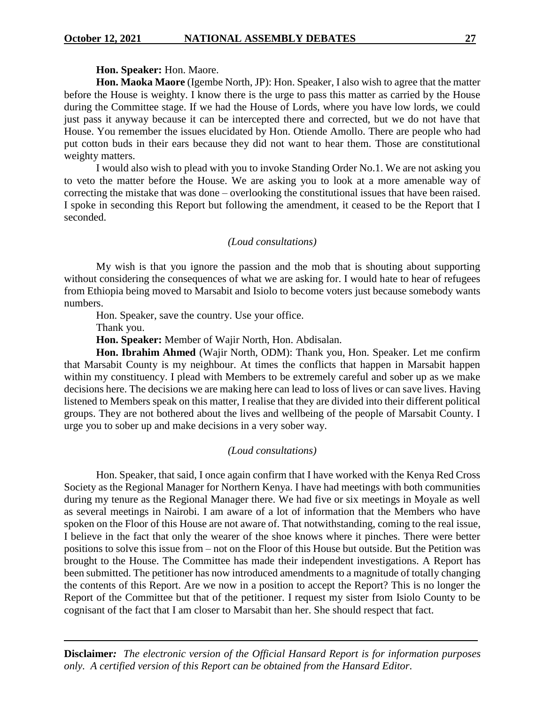#### **Hon. Speaker:** Hon. Maore.

**Hon. Maoka Maore** (Igembe North, JP): Hon. Speaker, I also wish to agree that the matter before the House is weighty. I know there is the urge to pass this matter as carried by the House during the Committee stage. If we had the House of Lords, where you have low lords, we could just pass it anyway because it can be intercepted there and corrected, but we do not have that House. You remember the issues elucidated by Hon. Otiende Amollo. There are people who had put cotton buds in their ears because they did not want to hear them. Those are constitutional weighty matters.

I would also wish to plead with you to invoke Standing Order No.1. We are not asking you to veto the matter before the House. We are asking you to look at a more amenable way of correcting the mistake that was done – overlooking the constitutional issues that have been raised. I spoke in seconding this Report but following the amendment, it ceased to be the Report that I seconded.

#### *(Loud consultations)*

My wish is that you ignore the passion and the mob that is shouting about supporting without considering the consequences of what we are asking for. I would hate to hear of refugees from Ethiopia being moved to Marsabit and Isiolo to become voters just because somebody wants numbers.

Hon. Speaker, save the country. Use your office.

Thank you.

**Hon. Speaker:** Member of Wajir North, Hon. Abdisalan.

**Hon. Ibrahim Ahmed** (Wajir North, ODM): Thank you, Hon. Speaker. Let me confirm that Marsabit County is my neighbour. At times the conflicts that happen in Marsabit happen within my constituency. I plead with Members to be extremely careful and sober up as we make decisions here. The decisions we are making here can lead to loss of lives or can save lives. Having listened to Members speak on this matter, I realise that they are divided into their different political groups. They are not bothered about the lives and wellbeing of the people of Marsabit County. I urge you to sober up and make decisions in a very sober way.

#### *(Loud consultations)*

Hon. Speaker, that said, I once again confirm that I have worked with the Kenya Red Cross Society as the Regional Manager for Northern Kenya. I have had meetings with both communities during my tenure as the Regional Manager there. We had five or six meetings in Moyale as well as several meetings in Nairobi. I am aware of a lot of information that the Members who have spoken on the Floor of this House are not aware of. That notwithstanding, coming to the real issue, I believe in the fact that only the wearer of the shoe knows where it pinches. There were better positions to solve this issue from – not on the Floor of this House but outside. But the Petition was brought to the House. The Committee has made their independent investigations. A Report has been submitted. The petitioner has now introduced amendments to a magnitude of totally changing the contents of this Report. Are we now in a position to accept the Report? This is no longer the Report of the Committee but that of the petitioner. I request my sister from Isiolo County to be cognisant of the fact that I am closer to Marsabit than her. She should respect that fact.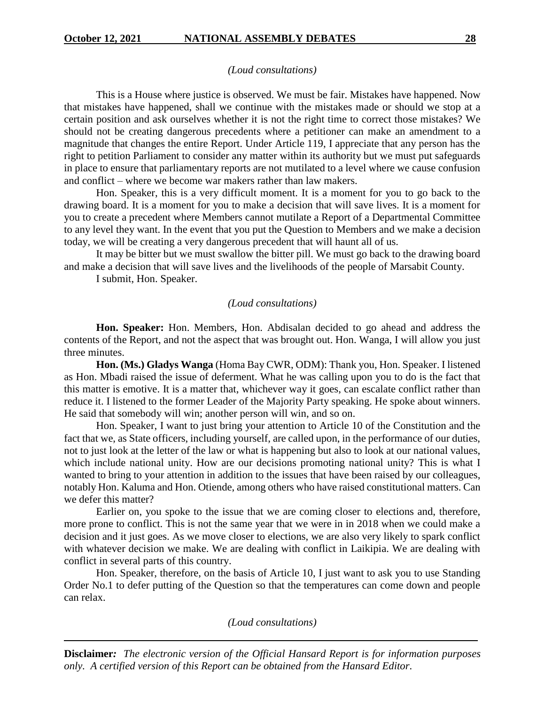#### *(Loud consultations)*

This is a House where justice is observed. We must be fair. Mistakes have happened. Now that mistakes have happened, shall we continue with the mistakes made or should we stop at a certain position and ask ourselves whether it is not the right time to correct those mistakes? We should not be creating dangerous precedents where a petitioner can make an amendment to a magnitude that changes the entire Report. Under Article 119, I appreciate that any person has the right to petition Parliament to consider any matter within its authority but we must put safeguards in place to ensure that parliamentary reports are not mutilated to a level where we cause confusion and conflict – where we become war makers rather than law makers.

Hon. Speaker, this is a very difficult moment. It is a moment for you to go back to the drawing board. It is a moment for you to make a decision that will save lives. It is a moment for you to create a precedent where Members cannot mutilate a Report of a Departmental Committee to any level they want. In the event that you put the Question to Members and we make a decision today, we will be creating a very dangerous precedent that will haunt all of us.

It may be bitter but we must swallow the bitter pill. We must go back to the drawing board and make a decision that will save lives and the livelihoods of the people of Marsabit County.

I submit, Hon. Speaker.

#### *(Loud consultations)*

**Hon. Speaker:** Hon. Members, Hon. Abdisalan decided to go ahead and address the contents of the Report, and not the aspect that was brought out. Hon. Wanga, I will allow you just three minutes.

**Hon. (Ms.) Gladys Wanga** (Homa Bay CWR, ODM): Thank you, Hon. Speaker. I listened as Hon. Mbadi raised the issue of deferment. What he was calling upon you to do is the fact that this matter is emotive. It is a matter that, whichever way it goes, can escalate conflict rather than reduce it. I listened to the former Leader of the Majority Party speaking. He spoke about winners. He said that somebody will win; another person will win, and so on.

Hon. Speaker, I want to just bring your attention to Article 10 of the Constitution and the fact that we, as State officers, including yourself, are called upon, in the performance of our duties, not to just look at the letter of the law or what is happening but also to look at our national values, which include national unity. How are our decisions promoting national unity? This is what I wanted to bring to your attention in addition to the issues that have been raised by our colleagues, notably Hon. Kaluma and Hon. Otiende, among others who have raised constitutional matters. Can we defer this matter?

Earlier on, you spoke to the issue that we are coming closer to elections and, therefore, more prone to conflict. This is not the same year that we were in in 2018 when we could make a decision and it just goes. As we move closer to elections, we are also very likely to spark conflict with whatever decision we make. We are dealing with conflict in Laikipia. We are dealing with conflict in several parts of this country.

Hon. Speaker, therefore, on the basis of Article 10, I just want to ask you to use Standing Order No.1 to defer putting of the Question so that the temperatures can come down and people can relax.

*(Loud consultations)*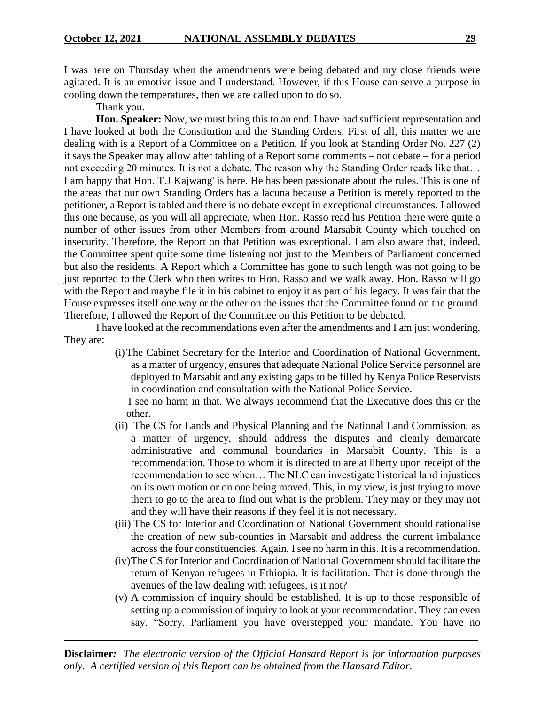I was here on Thursday when the amendments were being debated and my close friends were agitated. It is an emotive issue and I understand. However, if this House can serve a purpose in cooling down the temperatures, then we are called upon to do so.

Thank you.

**Hon. Speaker:** Now, we must bring this to an end. I have had sufficient representation and I have looked at both the Constitution and the Standing Orders. First of all, this matter we are dealing with is a Report of a Committee on a Petition. If you look at Standing Order No. 227 (2) it says the Speaker may allow after tabling of a Report some comments – not debate – for a period not exceeding 20 minutes. It is not a debate. The reason why the Standing Order reads like that… I am happy that Hon. T.J Kajwang' is here. He has been passionate about the rules. This is one of the areas that our own Standing Orders has a lacuna because a Petition is merely reported to the petitioner, a Report is tabled and there is no debate except in exceptional circumstances. I allowed this one because, as you will all appreciate, when Hon. Rasso read his Petition there were quite a number of other issues from other Members from around Marsabit County which touched on insecurity. Therefore, the Report on that Petition was exceptional. I am also aware that, indeed, the Committee spent quite some time listening not just to the Members of Parliament concerned but also the residents. A Report which a Committee has gone to such length was not going to be just reported to the Clerk who then writes to Hon. Rasso and we walk away. Hon. Rasso will go with the Report and maybe file it in his cabinet to enjoy it as part of his legacy. It was fair that the House expresses itself one way or the other on the issues that the Committee found on the ground. Therefore, I allowed the Report of the Committee on this Petition to be debated.

I have looked at the recommendations even after the amendments and I am just wondering. They are:

> (i)The Cabinet Secretary for the Interior and Coordination of National Government, as a matter of urgency, ensures that adequate National Police Service personnel are deployed to Marsabit and any existing gaps to be filled by Kenya Police Reservists in coordination and consultation with the National Police Service.

I see no harm in that. We always recommend that the Executive does this or the other.

- (ii) The CS for Lands and Physical Planning and the National Land Commission, as a matter of urgency, should address the disputes and clearly demarcate administrative and communal boundaries in Marsabit County. This is a recommendation. Those to whom it is directed to are at liberty upon receipt of the recommendation to see when… The NLC can investigate historical land injustices on its own motion or on one being moved. This, in my view, is just trying to move them to go to the area to find out what is the problem. They may or they may not and they will have their reasons if they feel it is not necessary.
- (iii) The CS for Interior and Coordination of National Government should rationalise the creation of new sub-counties in Marsabit and address the current imbalance across the four constituencies. Again, I see no harm in this. It is a recommendation.
- (iv)The CS for Interior and Coordination of National Government should facilitate the return of Kenyan refugees in Ethiopia. It is facilitation. That is done through the avenues of the law dealing with refugees, is it not?
- (v) A commission of inquiry should be established. It is up to those responsible of setting up a commission of inquiry to look at your recommendation. They can even say, "Sorry, Parliament you have overstepped your mandate. You have no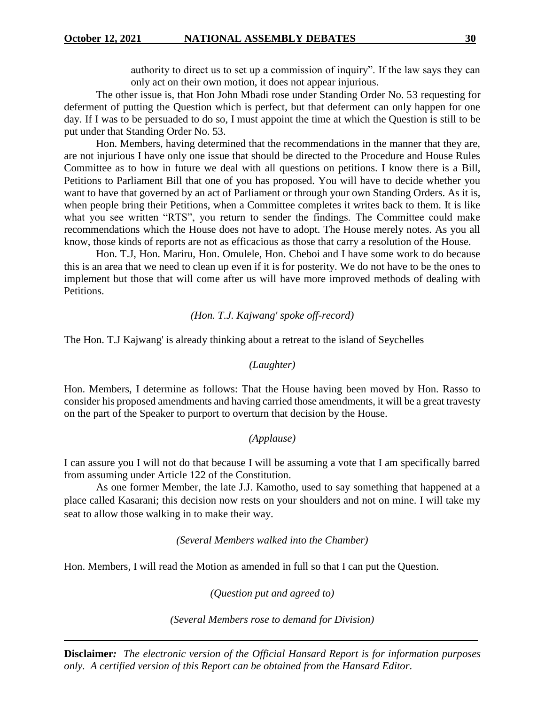authority to direct us to set up a commission of inquiry". If the law says they can only act on their own motion, it does not appear injurious.

The other issue is, that Hon John Mbadi rose under Standing Order No. 53 requesting for deferment of putting the Question which is perfect, but that deferment can only happen for one day. If I was to be persuaded to do so, I must appoint the time at which the Question is still to be put under that Standing Order No. 53.

Hon. Members, having determined that the recommendations in the manner that they are, are not injurious I have only one issue that should be directed to the Procedure and House Rules Committee as to how in future we deal with all questions on petitions. I know there is a Bill, Petitions to Parliament Bill that one of you has proposed. You will have to decide whether you want to have that governed by an act of Parliament or through your own Standing Orders. As it is, when people bring their Petitions, when a Committee completes it writes back to them. It is like what you see written "RTS", you return to sender the findings. The Committee could make recommendations which the House does not have to adopt. The House merely notes. As you all know, those kinds of reports are not as efficacious as those that carry a resolution of the House.

Hon. T.J, Hon. Mariru, Hon. Omulele, Hon. Cheboi and I have some work to do because this is an area that we need to clean up even if it is for posterity. We do not have to be the ones to implement but those that will come after us will have more improved methods of dealing with Petitions.

## *(Hon. T.J. Kajwang' spoke off-record)*

The Hon. T.J Kajwang' is already thinking about a retreat to the island of Seychelles

## *(Laughter)*

Hon. Members, I determine as follows: That the House having been moved by Hon. Rasso to consider his proposed amendments and having carried those amendments, it will be a great travesty on the part of the Speaker to purport to overturn that decision by the House.

## *(Applause)*

I can assure you I will not do that because I will be assuming a vote that I am specifically barred from assuming under Article 122 of the Constitution.

As one former Member, the late J.J. Kamotho, used to say something that happened at a place called Kasarani; this decision now rests on your shoulders and not on mine. I will take my seat to allow those walking in to make their way.

## *(Several Members walked into the Chamber)*

Hon. Members, I will read the Motion as amended in full so that I can put the Question.

*(Question put and agreed to)*

*(Several Members rose to demand for Division)*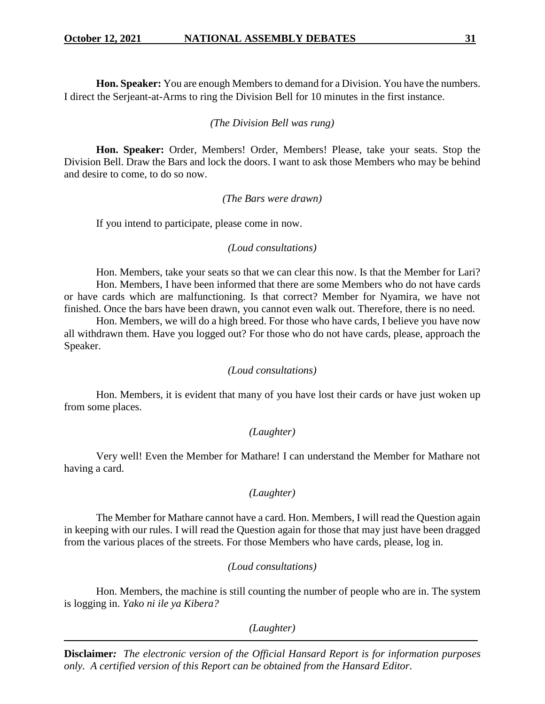**Hon. Speaker:** You are enough Members to demand for a Division. You have the numbers. I direct the Serjeant-at-Arms to ring the Division Bell for 10 minutes in the first instance.

#### *(The Division Bell was rung)*

**Hon. Speaker:** Order, Members! Order, Members! Please, take your seats. Stop the Division Bell. Draw the Bars and lock the doors. I want to ask those Members who may be behind and desire to come, to do so now.

#### *(The Bars were drawn)*

If you intend to participate, please come in now.

#### *(Loud consultations)*

Hon. Members, take your seats so that we can clear this now. Is that the Member for Lari? Hon. Members, I have been informed that there are some Members who do not have cards or have cards which are malfunctioning. Is that correct? Member for Nyamira, we have not finished. Once the bars have been drawn, you cannot even walk out. Therefore, there is no need.

Hon. Members, we will do a high breed. For those who have cards, I believe you have now all withdrawn them. Have you logged out? For those who do not have cards, please, approach the Speaker.

#### *(Loud consultations)*

Hon. Members, it is evident that many of you have lost their cards or have just woken up from some places.

## *(Laughter)*

Very well! Even the Member for Mathare! I can understand the Member for Mathare not having a card.

## *(Laughter)*

The Member for Mathare cannot have a card. Hon. Members, I will read the Question again in keeping with our rules. I will read the Question again for those that may just have been dragged from the various places of the streets. For those Members who have cards, please, log in.

## *(Loud consultations)*

Hon. Members, the machine is still counting the number of people who are in. The system is logging in. *Yako ni ile ya Kibera?*

*(Laughter)*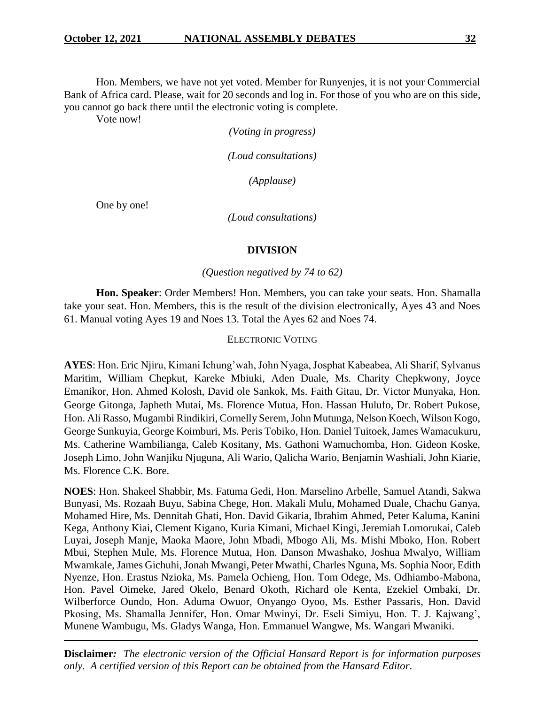Hon. Members, we have not yet voted. Member for Runyenjes, it is not your Commercial Bank of Africa card. Please, wait for 20 seconds and log in. For those of you who are on this side, you cannot go back there until the electronic voting is complete.

Vote now!

*(Voting in progress)*

*(Loud consultations)*

*(Applause)*

One by one!

*(Loud consultations)*

#### **DIVISION**

#### *(Question negatived by 74 to 62)*

**Hon. Speaker**: Order Members! Hon. Members, you can take your seats. Hon. Shamalla take your seat. Hon. Members, this is the result of the division electronically, Ayes 43 and Noes 61. Manual voting Ayes 19 and Noes 13. Total the Ayes 62 and Noes 74.

#### ELECTRONIC VOTING

**AYES**: Hon. Eric Njiru, Kimani Ichung'wah, John Nyaga, Josphat Kabeabea, Ali Sharif, Sylvanus Maritim, William Chepkut, Kareke Mbiuki, Aden Duale, Ms. Charity Chepkwony, Joyce Emanikor, Hon. Ahmed Kolosh, David ole Sankok, Ms. Faith Gitau, Dr. Victor Munyaka, Hon. George Gitonga, Japheth Mutai, Ms. Florence Mutua, Hon. Hassan Hulufo, Dr. Robert Pukose, Hon. Ali Rasso, Mugambi Rindikiri, Cornelly Serem, John Mutunga, Nelson Koech, Wilson Kogo, George Sunkuyia, George Koimburi, Ms. Peris Tobiko, Hon. Daniel Tuitoek, James Wamacukuru, Ms. Catherine Wambilianga, Caleb Kositany, Ms. Gathoni Wamuchomba, Hon. Gideon Koske, Joseph Limo, John Wanjiku Njuguna, Ali Wario, Qalicha Wario, Benjamin Washiali, John Kiarie, Ms. Florence C.K. Bore.

**NOES**: Hon. Shakeel Shabbir, Ms. Fatuma Gedi, Hon. Marselino Arbelle, Samuel Atandi, Sakwa Bunyasi, Ms. Rozaah Buyu, Sabina Chege, Hon. Makali Mulu, Mohamed Duale, Chachu Ganya, Mohamed Hire, Ms. Dennitah Ghati, Hon. David Gikaria, Ibrahim Ahmed, Peter Kaluma, Kanini Kega, Anthony Kiai, Clement Kigano, Kuria Kimani, Michael Kingi, Jeremiah Lomorukai, Caleb Luyai, Joseph Manje, Maoka Maore, John Mbadi, Mbogo Ali, Ms. Mishi Mboko, Hon. Robert Mbui, Stephen Mule, Ms. Florence Mutua, Hon. Danson Mwashako, Joshua Mwalyo, William Mwamkale, James Gichuhi, Jonah Mwangi, Peter Mwathi, Charles Nguna, Ms. Sophia Noor, Edith Nyenze, Hon. Erastus Nzioka, Ms. Pamela Ochieng, Hon. Tom Odege, Ms. Odhiambo-Mabona, Hon. Pavel Oimeke, Jared Okelo, Benard Okoth, Richard ole Kenta, Ezekiel Ombaki, Dr. Wilberforce Oundo, Hon. Aduma Owuor, Onyango Oyoo, Ms. Esther Passaris, Hon. David Pkosing, Ms. Shamalla Jennifer, Hon. Omar Mwinyi, Dr. Eseli Simiyu, Hon. T. J. Kajwang', Munene Wambugu, Ms. Gladys Wanga, Hon. Emmanuel Wangwe, Ms. Wangari Mwaniki.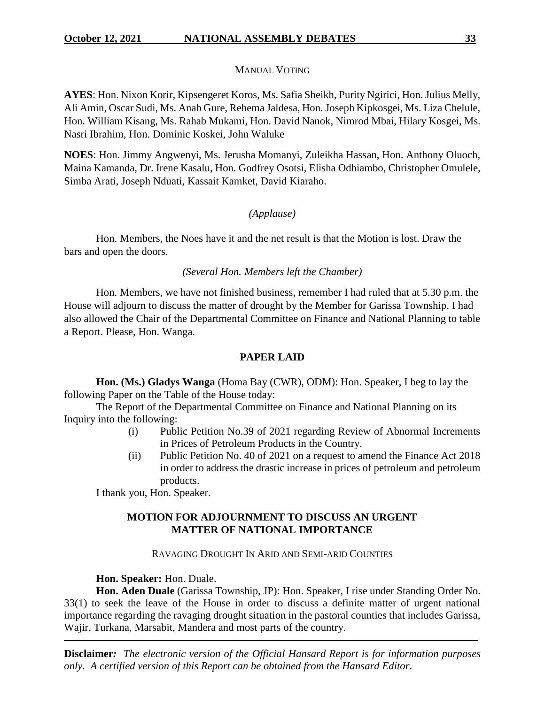## MANUAL VOTING

**AYES**: Hon. Nixon Korir, Kipsengeret Koros, Ms. Safia Sheikh, Purity Ngirici, Hon. Julius Melly, Ali Amin, Oscar Sudi, Ms. Anab Gure, Rehema Jaldesa, Hon. Joseph Kipkosgei, Ms. Liza Chelule, Hon. William Kisang, Ms. Rahab Mukami, Hon. David Nanok, Nimrod Mbai, Hilary Kosgei, Ms. Nasri Ibrahim, Hon. Dominic Koskei, John Waluke

**NOES**: Hon. Jimmy Angwenyi, Ms. Jerusha Momanyi, Zuleikha Hassan, Hon. Anthony Oluoch, Maina Kamanda, Dr. Irene Kasalu, Hon. Godfrey Osotsi, Elisha Odhiambo, Christopher Omulele, Simba Arati, Joseph Nduati, Kassait Kamket, David Kiaraho.

## *(Applause)*

Hon. Members, the Noes have it and the net result is that the Motion is lost. Draw the bars and open the doors.

## *(Several Hon. Members left the Chamber)*

Hon. Members, we have not finished business, remember I had ruled that at 5.30 p.m. the House will adjourn to discuss the matter of drought by the Member for Garissa Township. I had also allowed the Chair of the Departmental Committee on Finance and National Planning to table a Report. Please, Hon. Wanga.

## **PAPER LAID**

**Hon. (Ms.) Gladys Wanga** (Homa Bay (CWR), ODM): Hon. Speaker, I beg to lay the following Paper on the Table of the House today:

The Report of the Departmental Committee on Finance and National Planning on its Inquiry into the following:

- (i) Public Petition No.39 of 2021 regarding Review of Abnormal Increments in Prices of Petroleum Products in the Country.
- (ii) Public Petition No. 40 of 2021 on a request to amend the Finance Act 2018 in order to address the drastic increase in prices of petroleum and petroleum products.

I thank you, Hon. Speaker.

## **MOTION FOR ADJOURNMENT TO DISCUSS AN URGENT MATTER OF NATIONAL IMPORTANCE**

## RAVAGING DROUGHT IN ARID AND SEMI-ARID COUNTIES

## **Hon. Speaker:** Hon. Duale.

**Hon. Aden Duale** (Garissa Township, JP): Hon. Speaker, I rise under Standing Order No. 33(1) to seek the leave of the House in order to discuss a definite matter of urgent national importance regarding the ravaging drought situation in the pastoral counties that includes Garissa, Wajir, Turkana, Marsabit, Mandera and most parts of the country.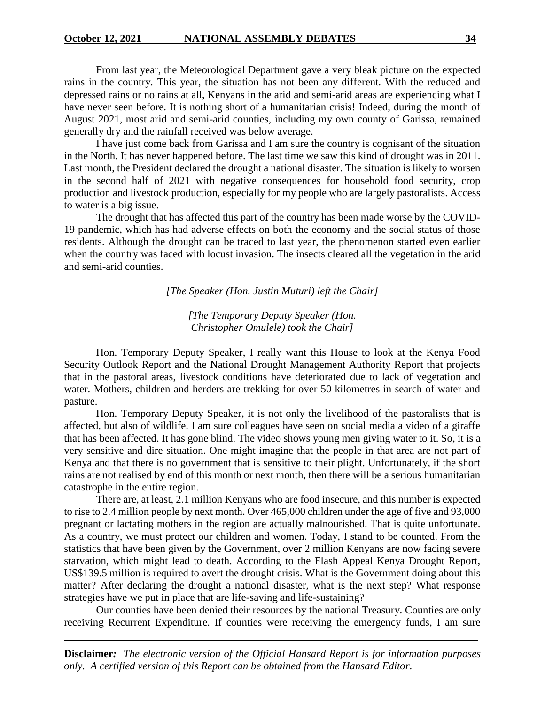From last year, the Meteorological Department gave a very bleak picture on the expected rains in the country. This year, the situation has not been any different. With the reduced and depressed rains or no rains at all, Kenyans in the arid and semi-arid areas are experiencing what I have never seen before. It is nothing short of a humanitarian crisis! Indeed, during the month of August 2021, most arid and semi-arid counties, including my own county of Garissa, remained generally dry and the rainfall received was below average.

I have just come back from Garissa and I am sure the country is cognisant of the situation in the North. It has never happened before. The last time we saw this kind of drought was in 2011. Last month, the President declared the drought a national disaster. The situation is likely to worsen in the second half of 2021 with negative consequences for household food security, crop production and livestock production, especially for my people who are largely pastoralists. Access to water is a big issue.

The drought that has affected this part of the country has been made worse by the COVID-19 pandemic, which has had adverse effects on both the economy and the social status of those residents. Although the drought can be traced to last year, the phenomenon started even earlier when the country was faced with locust invasion. The insects cleared all the vegetation in the arid and semi-arid counties.

*[The Speaker (Hon. Justin Muturi) left the Chair]*

*[The Temporary Deputy Speaker (Hon. Christopher Omulele) took the Chair]*

Hon. Temporary Deputy Speaker, I really want this House to look at the Kenya Food Security Outlook Report and the National Drought Management Authority Report that projects that in the pastoral areas, livestock conditions have deteriorated due to lack of vegetation and water. Mothers, children and herders are trekking for over 50 kilometres in search of water and pasture.

Hon. Temporary Deputy Speaker, it is not only the livelihood of the pastoralists that is affected, but also of wildlife. I am sure colleagues have seen on social media a video of a giraffe that has been affected. It has gone blind. The video shows young men giving water to it. So, it is a very sensitive and dire situation. One might imagine that the people in that area are not part of Kenya and that there is no government that is sensitive to their plight. Unfortunately, if the short rains are not realised by end of this month or next month, then there will be a serious humanitarian catastrophe in the entire region.

There are, at least, 2.1 million Kenyans who are food insecure, and this number is expected to rise to 2.4 million people by next month. Over 465,000 children under the age of five and 93,000 pregnant or lactating mothers in the region are actually malnourished. That is quite unfortunate. As a country, we must protect our children and women. Today, I stand to be counted. From the statistics that have been given by the Government, over 2 million Kenyans are now facing severe starvation, which might lead to death. According to the Flash Appeal Kenya Drought Report, US\$139.5 million is required to avert the drought crisis. What is the Government doing about this matter? After declaring the drought a national disaster, what is the next step? What response strategies have we put in place that are life-saving and life-sustaining?

Our counties have been denied their resources by the national Treasury. Counties are only receiving Recurrent Expenditure. If counties were receiving the emergency funds, I am sure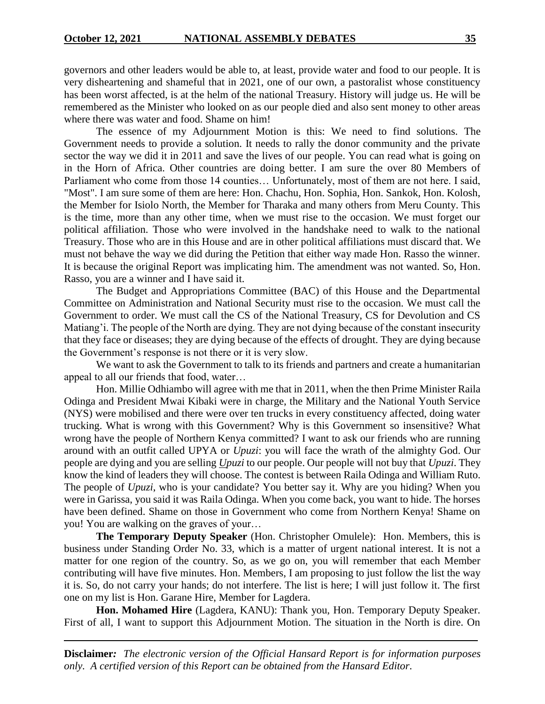governors and other leaders would be able to, at least, provide water and food to our people. It is very disheartening and shameful that in 2021, one of our own, a pastoralist whose constituency has been worst affected, is at the helm of the national Treasury. History will judge us. He will be remembered as the Minister who looked on as our people died and also sent money to other areas where there was water and food. Shame on him!

The essence of my Adjournment Motion is this: We need to find solutions. The Government needs to provide a solution. It needs to rally the donor community and the private sector the way we did it in 2011 and save the lives of our people. You can read what is going on in the Horn of Africa. Other countries are doing better. I am sure the over 80 Members of Parliament who come from those 14 counties… Unfortunately, most of them are not here. I said, "Most". I am sure some of them are here: Hon. Chachu, Hon. Sophia, Hon. Sankok, Hon. Kolosh, the Member for Isiolo North, the Member for Tharaka and many others from Meru County. This is the time, more than any other time, when we must rise to the occasion. We must forget our political affiliation. Those who were involved in the handshake need to walk to the national Treasury. Those who are in this House and are in other political affiliations must discard that. We must not behave the way we did during the Petition that either way made Hon. Rasso the winner. It is because the original Report was implicating him. The amendment was not wanted. So, Hon. Rasso, you are a winner and I have said it.

The Budget and Appropriations Committee (BAC) of this House and the Departmental Committee on Administration and National Security must rise to the occasion. We must call the Government to order. We must call the CS of the National Treasury, CS for Devolution and CS Matiang'i. The people of the North are dying. They are not dying because of the constant insecurity that they face or diseases; they are dying because of the effects of drought. They are dying because the Government's response is not there or it is very slow.

We want to ask the Government to talk to its friends and partners and create a humanitarian appeal to all our friends that food, water…

Hon. Millie Odhiambo will agree with me that in 2011, when the then Prime Minister Raila Odinga and President Mwai Kibaki were in charge, the Military and the National Youth Service (NYS) were mobilised and there were over ten trucks in every constituency affected, doing water trucking. What is wrong with this Government? Why is this Government so insensitive? What wrong have the people of Northern Kenya committed? I want to ask our friends who are running around with an outfit called UPYA or *Upuzi*: you will face the wrath of the almighty God. Our people are dying and you are selling *Upuzi* to our people. Our people will not buy that *Upuzi*. They know the kind of leaders they will choose. The contest is between Raila Odinga and William Ruto. The people of *Upuzi*, who is your candidate? You better say it. Why are you hiding? When you were in Garissa, you said it was Raila Odinga. When you come back, you want to hide. The horses have been defined. Shame on those in Government who come from Northern Kenya! Shame on you! You are walking on the graves of your…

**The Temporary Deputy Speaker** (Hon. Christopher Omulele): Hon. Members, this is business under Standing Order No. 33, which is a matter of urgent national interest. It is not a matter for one region of the country. So, as we go on, you will remember that each Member contributing will have five minutes. Hon. Members, I am proposing to just follow the list the way it is. So, do not carry your hands; do not interfere. The list is here; I will just follow it. The first one on my list is Hon. Garane Hire, Member for Lagdera.

**Hon. Mohamed Hire** (Lagdera, KANU): Thank you, Hon. Temporary Deputy Speaker. First of all, I want to support this Adjournment Motion. The situation in the North is dire. On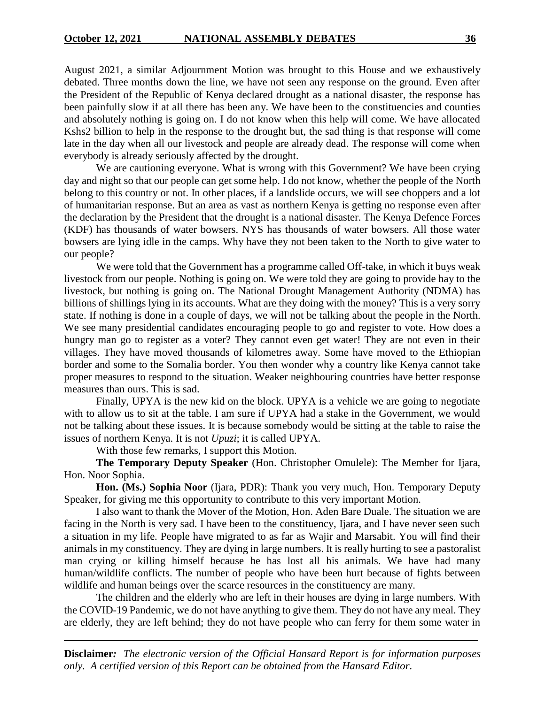August 2021, a similar Adjournment Motion was brought to this House and we exhaustively debated. Three months down the line, we have not seen any response on the ground. Even after the President of the Republic of Kenya declared drought as a national disaster, the response has been painfully slow if at all there has been any. We have been to the constituencies and counties and absolutely nothing is going on. I do not know when this help will come. We have allocated Kshs2 billion to help in the response to the drought but, the sad thing is that response will come late in the day when all our livestock and people are already dead. The response will come when everybody is already seriously affected by the drought.

We are cautioning everyone. What is wrong with this Government? We have been crying day and night so that our people can get some help. I do not know, whether the people of the North belong to this country or not. In other places, if a landslide occurs, we will see choppers and a lot of humanitarian response. But an area as vast as northern Kenya is getting no response even after the declaration by the President that the drought is a national disaster. The Kenya Defence Forces (KDF) has thousands of water bowsers. NYS has thousands of water bowsers. All those water bowsers are lying idle in the camps. Why have they not been taken to the North to give water to our people?

We were told that the Government has a programme called Off-take, in which it buys weak livestock from our people. Nothing is going on. We were told they are going to provide hay to the livestock, but nothing is going on. The National Drought Management Authority (NDMA) has billions of shillings lying in its accounts. What are they doing with the money? This is a very sorry state. If nothing is done in a couple of days, we will not be talking about the people in the North. We see many presidential candidates encouraging people to go and register to vote. How does a hungry man go to register as a voter? They cannot even get water! They are not even in their villages. They have moved thousands of kilometres away. Some have moved to the Ethiopian border and some to the Somalia border. You then wonder why a country like Kenya cannot take proper measures to respond to the situation. Weaker neighbouring countries have better response measures than ours. This is sad.

Finally, UPYA is the new kid on the block. UPYA is a vehicle we are going to negotiate with to allow us to sit at the table. I am sure if UPYA had a stake in the Government, we would not be talking about these issues. It is because somebody would be sitting at the table to raise the issues of northern Kenya. It is not *Upuzi*; it is called UPYA.

With those few remarks, I support this Motion.

**The Temporary Deputy Speaker** (Hon. Christopher Omulele): The Member for Ijara, Hon. Noor Sophia.

**Hon. (Ms.) Sophia Noor** (Ijara, PDR): Thank you very much, Hon. Temporary Deputy Speaker, for giving me this opportunity to contribute to this very important Motion.

I also want to thank the Mover of the Motion, Hon. Aden Bare Duale. The situation we are facing in the North is very sad. I have been to the constituency, Ijara, and I have never seen such a situation in my life. People have migrated to as far as Wajir and Marsabit. You will find their animals in my constituency. They are dying in large numbers. It is really hurting to see a pastoralist man crying or killing himself because he has lost all his animals. We have had many human/wildlife conflicts. The number of people who have been hurt because of fights between wildlife and human beings over the scarce resources in the constituency are many.

The children and the elderly who are left in their houses are dying in large numbers. With the COVID-19 Pandemic, we do not have anything to give them. They do not have any meal. They are elderly, they are left behind; they do not have people who can ferry for them some water in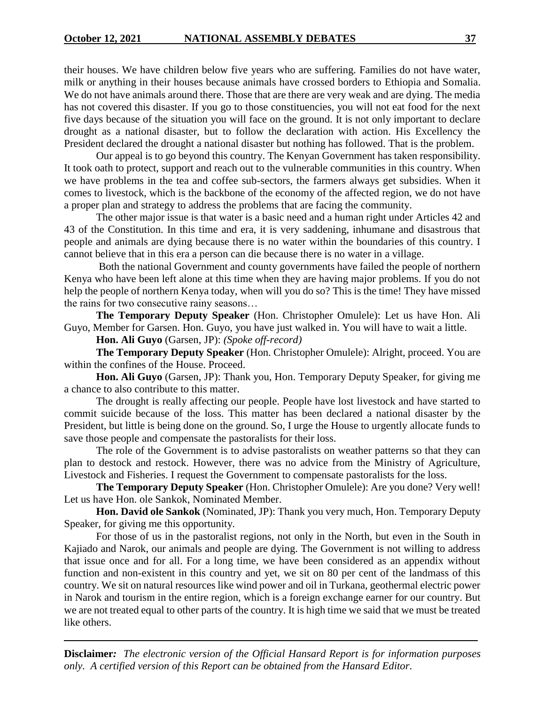their houses. We have children below five years who are suffering. Families do not have water, milk or anything in their houses because animals have crossed borders to Ethiopia and Somalia. We do not have animals around there. Those that are there are very weak and are dying. The media has not covered this disaster. If you go to those constituencies, you will not eat food for the next five days because of the situation you will face on the ground. It is not only important to declare drought as a national disaster, but to follow the declaration with action. His Excellency the President declared the drought a national disaster but nothing has followed. That is the problem.

Our appeal is to go beyond this country. The Kenyan Government has taken responsibility. It took oath to protect, support and reach out to the vulnerable communities in this country. When we have problems in the tea and coffee sub-sectors, the farmers always get subsidies. When it comes to livestock, which is the backbone of the economy of the affected region, we do not have a proper plan and strategy to address the problems that are facing the community.

The other major issue is that water is a basic need and a human right under Articles 42 and 43 of the Constitution. In this time and era, it is very saddening, inhumane and disastrous that people and animals are dying because there is no water within the boundaries of this country. I cannot believe that in this era a person can die because there is no water in a village.

Both the national Government and county governments have failed the people of northern Kenya who have been left alone at this time when they are having major problems. If you do not help the people of northern Kenya today, when will you do so? This is the time! They have missed the rains for two consecutive rainy seasons…

**The Temporary Deputy Speaker** (Hon. Christopher Omulele): Let us have Hon. Ali Guyo, Member for Garsen. Hon. Guyo, you have just walked in. You will have to wait a little.

**Hon. Ali Guyo** (Garsen, JP): *(Spoke off-record)*

**The Temporary Deputy Speaker** (Hon. Christopher Omulele): Alright, proceed. You are within the confines of the House. Proceed.

**Hon. Ali Guyo** (Garsen, JP): Thank you, Hon. Temporary Deputy Speaker, for giving me a chance to also contribute to this matter.

The drought is really affecting our people. People have lost livestock and have started to commit suicide because of the loss. This matter has been declared a national disaster by the President, but little is being done on the ground. So, I urge the House to urgently allocate funds to save those people and compensate the pastoralists for their loss.

The role of the Government is to advise pastoralists on weather patterns so that they can plan to destock and restock. However, there was no advice from the Ministry of Agriculture, Livestock and Fisheries. I request the Government to compensate pastoralists for the loss.

**The Temporary Deputy Speaker** (Hon. Christopher Omulele): Are you done? Very well! Let us have Hon. ole Sankok, Nominated Member.

**Hon. David ole Sankok** (Nominated, JP): Thank you very much, Hon. Temporary Deputy Speaker, for giving me this opportunity.

For those of us in the pastoralist regions, not only in the North, but even in the South in Kajiado and Narok, our animals and people are dying. The Government is not willing to address that issue once and for all. For a long time, we have been considered as an appendix without function and non-existent in this country and yet, we sit on 80 per cent of the landmass of this country. We sit on natural resources like wind power and oil in Turkana, geothermal electric power in Narok and tourism in the entire region, which is a foreign exchange earner for our country. But we are not treated equal to other parts of the country. It is high time we said that we must be treated like others.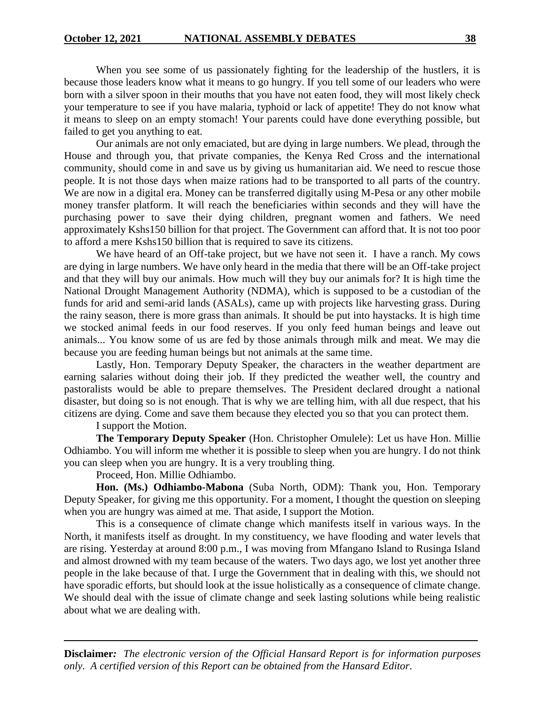When you see some of us passionately fighting for the leadership of the hustlers, it is because those leaders know what it means to go hungry. If you tell some of our leaders who were born with a silver spoon in their mouths that you have not eaten food, they will most likely check your temperature to see if you have malaria, typhoid or lack of appetite! They do not know what it means to sleep on an empty stomach! Your parents could have done everything possible, but failed to get you anything to eat.

Our animals are not only emaciated, but are dying in large numbers. We plead, through the House and through you, that private companies, the Kenya Red Cross and the international community, should come in and save us by giving us humanitarian aid. We need to rescue those people. It is not those days when maize rations had to be transported to all parts of the country. We are now in a digital era. Money can be transferred digitally using M-Pesa or any other mobile money transfer platform. It will reach the beneficiaries within seconds and they will have the purchasing power to save their dying children, pregnant women and fathers. We need approximately Kshs150 billion for that project. The Government can afford that. It is not too poor to afford a mere Kshs150 billion that is required to save its citizens.

We have heard of an Off-take project, but we have not seen it. I have a ranch. My cows are dying in large numbers. We have only heard in the media that there will be an Off-take project and that they will buy our animals. How much will they buy our animals for? It is high time the National Drought Management Authority (NDMA), which is supposed to be a custodian of the funds for arid and semi-arid lands (ASALs), came up with projects like harvesting grass. During the rainy season, there is more grass than animals. It should be put into haystacks. It is high time we stocked animal feeds in our food reserves. If you only feed human beings and leave out animals... You know some of us are fed by those animals through milk and meat. We may die because you are feeding human beings but not animals at the same time.

Lastly, Hon. Temporary Deputy Speaker, the characters in the weather department are earning salaries without doing their job. If they predicted the weather well, the country and pastoralists would be able to prepare themselves. The President declared drought a national disaster, but doing so is not enough. That is why we are telling him, with all due respect, that his citizens are dying. Come and save them because they elected you so that you can protect them.

I support the Motion.

**The Temporary Deputy Speaker** (Hon. Christopher Omulele): Let us have Hon. Millie Odhiambo. You will inform me whether it is possible to sleep when you are hungry. I do not think you can sleep when you are hungry. It is a very troubling thing.

Proceed, Hon. Millie Odhiambo.

**Hon. (Ms.) Odhiambo-Mabona** (Suba North, ODM): Thank you, Hon. Temporary Deputy Speaker, for giving me this opportunity. For a moment, I thought the question on sleeping when you are hungry was aimed at me. That aside, I support the Motion.

This is a consequence of climate change which manifests itself in various ways. In the North, it manifests itself as drought. In my constituency, we have flooding and water levels that are rising. Yesterday at around 8:00 p.m., I was moving from Mfangano Island to Rusinga Island and almost drowned with my team because of the waters. Two days ago, we lost yet another three people in the lake because of that. I urge the Government that in dealing with this, we should not have sporadic efforts, but should look at the issue holistically as a consequence of climate change. We should deal with the issue of climate change and seek lasting solutions while being realistic about what we are dealing with.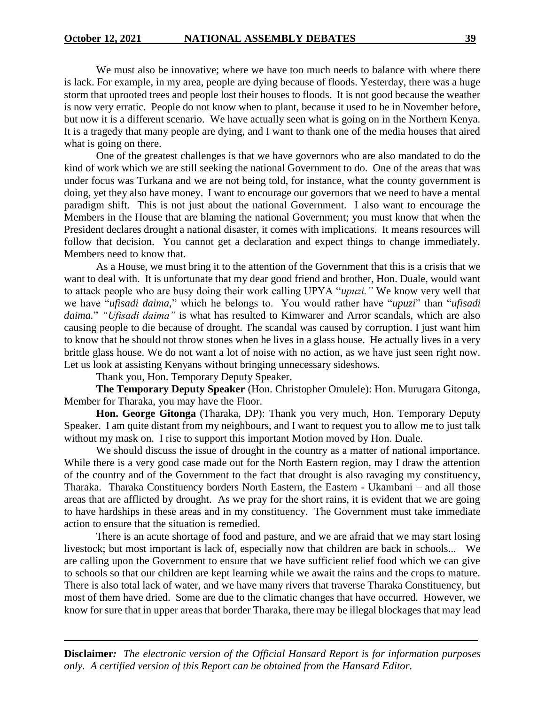We must also be innovative; where we have too much needs to balance with where there is lack. For example, in my area, people are dying because of floods. Yesterday, there was a huge storm that uprooted trees and people lost their houses to floods. It is not good because the weather is now very erratic. People do not know when to plant, because it used to be in November before, but now it is a different scenario. We have actually seen what is going on in the Northern Kenya. It is a tragedy that many people are dying, and I want to thank one of the media houses that aired what is going on there.

One of the greatest challenges is that we have governors who are also mandated to do the kind of work which we are still seeking the national Government to do. One of the areas that was under focus was Turkana and we are not being told, for instance, what the county government is doing, yet they also have money. I want to encourage our governors that we need to have a mental paradigm shift. This is not just about the national Government. I also want to encourage the Members in the House that are blaming the national Government; you must know that when the President declares drought a national disaster, it comes with implications. It means resources will follow that decision. You cannot get a declaration and expect things to change immediately. Members need to know that.

As a House, we must bring it to the attention of the Government that this is a crisis that we want to deal with. It is unfortunate that my dear good friend and brother, Hon. Duale, would want to attack people who are busy doing their work calling UPYA "*upuzi."* We know very well that we have "*ufisadi daima,*" which he belongs to. You would rather have "*upuzi*" than "*ufisadi daima.*" *"Ufisadi daima"* is what has resulted to Kimwarer and Arror scandals, which are also causing people to die because of drought. The scandal was caused by corruption. I just want him to know that he should not throw stones when he lives in a glass house. He actually lives in a very brittle glass house. We do not want a lot of noise with no action, as we have just seen right now. Let us look at assisting Kenyans without bringing unnecessary sideshows.

Thank you, Hon. Temporary Deputy Speaker.

**The Temporary Deputy Speaker** (Hon. Christopher Omulele): Hon. Murugara Gitonga, Member for Tharaka, you may have the Floor.

**Hon. George Gitonga** (Tharaka, DP): Thank you very much, Hon. Temporary Deputy Speaker. I am quite distant from my neighbours, and I want to request you to allow me to just talk without my mask on. I rise to support this important Motion moved by Hon. Duale.

We should discuss the issue of drought in the country as a matter of national importance. While there is a very good case made out for the North Eastern region, may I draw the attention of the country and of the Government to the fact that drought is also ravaging my constituency, Tharaka. Tharaka Constituency borders North Eastern, the Eastern - Ukambani – and all those areas that are afflicted by drought. As we pray for the short rains, it is evident that we are going to have hardships in these areas and in my constituency. The Government must take immediate action to ensure that the situation is remedied.

There is an acute shortage of food and pasture, and we are afraid that we may start losing livestock; but most important is lack of, especially now that children are back in schools... We are calling upon the Government to ensure that we have sufficient relief food which we can give to schools so that our children are kept learning while we await the rains and the crops to mature. There is also total lack of water, and we have many rivers that traverse Tharaka Constituency, but most of them have dried. Some are due to the climatic changes that have occurred. However, we know for sure that in upper areas that border Tharaka, there may be illegal blockages that may lead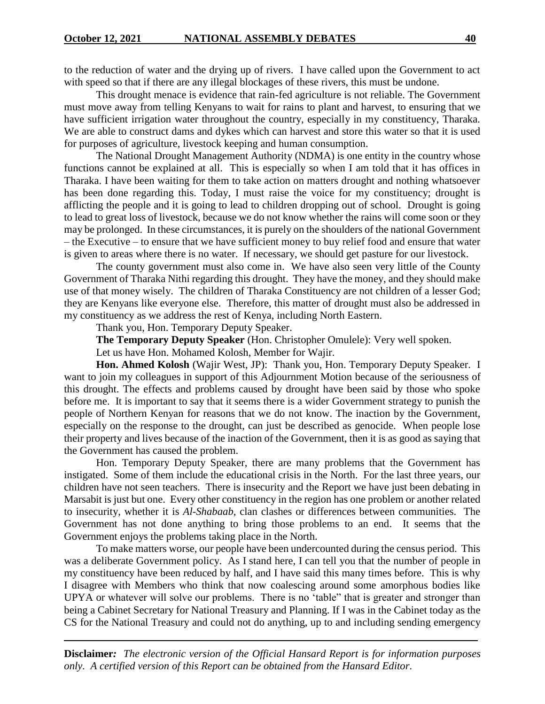to the reduction of water and the drying up of rivers. I have called upon the Government to act with speed so that if there are any illegal blockages of these rivers, this must be undone.

This drought menace is evidence that rain-fed agriculture is not reliable. The Government must move away from telling Kenyans to wait for rains to plant and harvest, to ensuring that we have sufficient irrigation water throughout the country, especially in my constituency, Tharaka. We are able to construct dams and dykes which can harvest and store this water so that it is used for purposes of agriculture, livestock keeping and human consumption.

The National Drought Management Authority (NDMA) is one entity in the country whose functions cannot be explained at all. This is especially so when I am told that it has offices in Tharaka. I have been waiting for them to take action on matters drought and nothing whatsoever has been done regarding this. Today, I must raise the voice for my constituency; drought is afflicting the people and it is going to lead to children dropping out of school. Drought is going to lead to great loss of livestock, because we do not know whether the rains will come soon or they may be prolonged. In these circumstances, it is purely on the shoulders of the national Government – the Executive – to ensure that we have sufficient money to buy relief food and ensure that water is given to areas where there is no water. If necessary, we should get pasture for our livestock.

The county government must also come in. We have also seen very little of the County Government of Tharaka Nithi regarding this drought. They have the money, and they should make use of that money wisely. The children of Tharaka Constituency are not children of a lesser God; they are Kenyans like everyone else. Therefore, this matter of drought must also be addressed in my constituency as we address the rest of Kenya, including North Eastern.

Thank you, Hon. Temporary Deputy Speaker.

**The Temporary Deputy Speaker** (Hon. Christopher Omulele): Very well spoken.

Let us have Hon. Mohamed Kolosh, Member for Wajir.

**Hon. Ahmed Kolosh** (Wajir West, JP): Thank you, Hon. Temporary Deputy Speaker. I want to join my colleagues in support of this Adjournment Motion because of the seriousness of this drought. The effects and problems caused by drought have been said by those who spoke before me. It is important to say that it seems there is a wider Government strategy to punish the people of Northern Kenyan for reasons that we do not know. The inaction by the Government, especially on the response to the drought, can just be described as genocide. When people lose their property and lives because of the inaction of the Government, then it is as good as saying that the Government has caused the problem.

Hon. Temporary Deputy Speaker, there are many problems that the Government has instigated. Some of them include the educational crisis in the North. For the last three years, our children have not seen teachers. There is insecurity and the Report we have just been debating in Marsabit is just but one. Every other constituency in the region has one problem or another related to insecurity, whether it is *Al-Shabaab*, clan clashes or differences between communities. The Government has not done anything to bring those problems to an end. It seems that the Government enjoys the problems taking place in the North.

To make matters worse, our people have been undercounted during the census period. This was a deliberate Government policy. As I stand here, I can tell you that the number of people in my constituency have been reduced by half, and I have said this many times before. This is why I disagree with Members who think that now coalescing around some amorphous bodies like UPYA or whatever will solve our problems. There is no 'table" that is greater and stronger than being a Cabinet Secretary for National Treasury and Planning. If I was in the Cabinet today as the CS for the National Treasury and could not do anything, up to and including sending emergency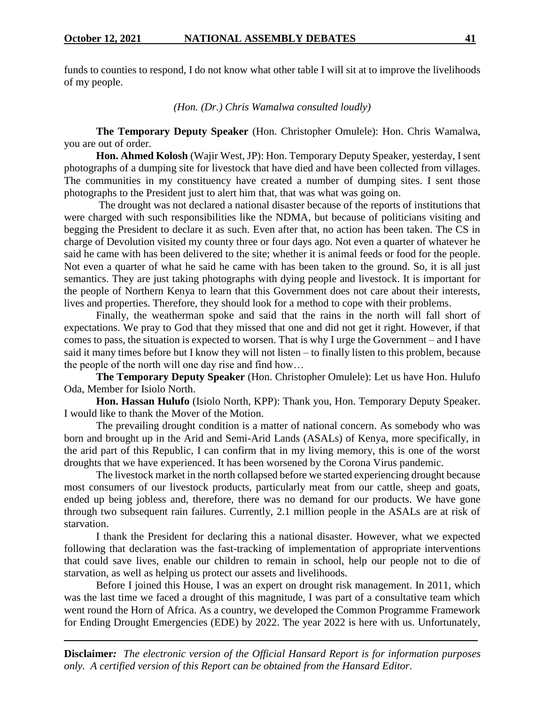funds to counties to respond, I do not know what other table I will sit at to improve the livelihoods of my people.

*(Hon. (Dr.) Chris Wamalwa consulted loudly)*

**The Temporary Deputy Speaker** (Hon. Christopher Omulele): Hon. Chris Wamalwa, you are out of order.

**Hon. Ahmed Kolosh** (Wajir West, JP): Hon. Temporary Deputy Speaker, yesterday, I sent photographs of a dumping site for livestock that have died and have been collected from villages. The communities in my constituency have created a number of dumping sites. I sent those photographs to the President just to alert him that, that was what was going on.

The drought was not declared a national disaster because of the reports of institutions that were charged with such responsibilities like the NDMA, but because of politicians visiting and begging the President to declare it as such. Even after that, no action has been taken. The CS in charge of Devolution visited my county three or four days ago. Not even a quarter of whatever he said he came with has been delivered to the site; whether it is animal feeds or food for the people. Not even a quarter of what he said he came with has been taken to the ground. So, it is all just semantics. They are just taking photographs with dying people and livestock. It is important for the people of Northern Kenya to learn that this Government does not care about their interests, lives and properties. Therefore, they should look for a method to cope with their problems.

Finally, the weatherman spoke and said that the rains in the north will fall short of expectations. We pray to God that they missed that one and did not get it right. However, if that comes to pass, the situation is expected to worsen. That is why I urge the Government – and I have said it many times before but I know they will not listen – to finally listen to this problem, because the people of the north will one day rise and find how…

**The Temporary Deputy Speaker** (Hon. Christopher Omulele): Let us have Hon. Hulufo Oda, Member for Isiolo North.

**Hon. Hassan Hulufo** (Isiolo North, KPP): Thank you, Hon. Temporary Deputy Speaker. I would like to thank the Mover of the Motion.

The prevailing drought condition is a matter of national concern. As somebody who was born and brought up in the Arid and Semi-Arid Lands (ASALs) of Kenya, more specifically, in the arid part of this Republic, I can confirm that in my living memory, this is one of the worst droughts that we have experienced. It has been worsened by the Corona Virus pandemic.

The livestock market in the north collapsed before we started experiencing drought because most consumers of our livestock products, particularly meat from our cattle, sheep and goats, ended up being jobless and, therefore, there was no demand for our products. We have gone through two subsequent rain failures. Currently, 2.1 million people in the ASALs are at risk of starvation.

I thank the President for declaring this a national disaster. However, what we expected following that declaration was the fast-tracking of implementation of appropriate interventions that could save lives, enable our children to remain in school, help our people not to die of starvation, as well as helping us protect our assets and livelihoods.

Before I joined this House, I was an expert on drought risk management. In 2011, which was the last time we faced a drought of this magnitude, I was part of a consultative team which went round the Horn of Africa. As a country, we developed the Common Programme Framework for Ending Drought Emergencies (EDE) by 2022. The year 2022 is here with us. Unfortunately,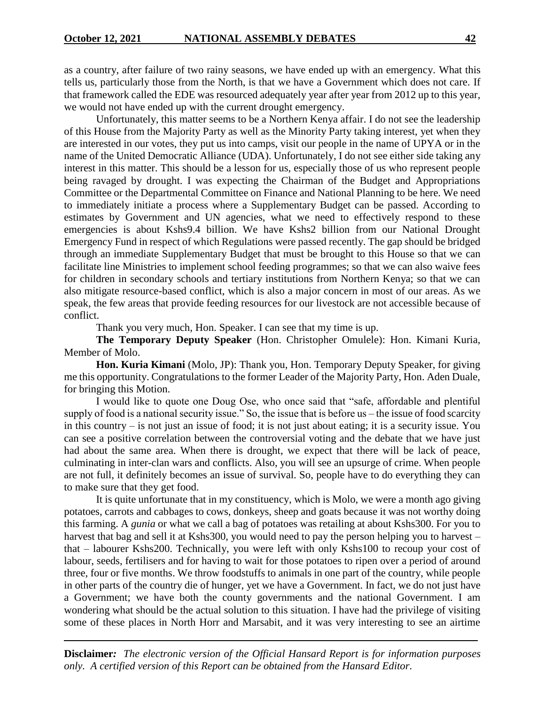as a country, after failure of two rainy seasons, we have ended up with an emergency. What this tells us, particularly those from the North, is that we have a Government which does not care. If that framework called the EDE was resourced adequately year after year from 2012 up to this year, we would not have ended up with the current drought emergency.

Unfortunately, this matter seems to be a Northern Kenya affair. I do not see the leadership of this House from the Majority Party as well as the Minority Party taking interest, yet when they are interested in our votes, they put us into camps, visit our people in the name of UPYA or in the name of the United Democratic Alliance (UDA). Unfortunately, I do not see either side taking any interest in this matter. This should be a lesson for us, especially those of us who represent people being ravaged by drought. I was expecting the Chairman of the Budget and Appropriations Committee or the Departmental Committee on Finance and National Planning to be here. We need to immediately initiate a process where a Supplementary Budget can be passed. According to estimates by Government and UN agencies, what we need to effectively respond to these emergencies is about Kshs9.4 billion. We have Kshs2 billion from our National Drought Emergency Fund in respect of which Regulations were passed recently. The gap should be bridged through an immediate Supplementary Budget that must be brought to this House so that we can facilitate line Ministries to implement school feeding programmes; so that we can also waive fees for children in secondary schools and tertiary institutions from Northern Kenya; so that we can also mitigate resource-based conflict, which is also a major concern in most of our areas. As we speak, the few areas that provide feeding resources for our livestock are not accessible because of conflict.

Thank you very much, Hon. Speaker. I can see that my time is up.

**The Temporary Deputy Speaker** (Hon. Christopher Omulele): Hon. Kimani Kuria, Member of Molo.

**Hon. Kuria Kimani** (Molo, JP): Thank you, Hon. Temporary Deputy Speaker, for giving me this opportunity. Congratulations to the former Leader of the Majority Party, Hon. Aden Duale, for bringing this Motion.

I would like to quote one Doug Ose, who once said that "safe, affordable and plentiful supply of food is a national security issue." So, the issue that is before us – the issue of food scarcity in this country – is not just an issue of food; it is not just about eating; it is a security issue. You can see a positive correlation between the controversial voting and the debate that we have just had about the same area. When there is drought, we expect that there will be lack of peace, culminating in inter-clan wars and conflicts. Also, you will see an upsurge of crime. When people are not full, it definitely becomes an issue of survival. So, people have to do everything they can to make sure that they get food.

It is quite unfortunate that in my constituency, which is Molo, we were a month ago giving potatoes, carrots and cabbages to cows, donkeys, sheep and goats because it was not worthy doing this farming. A *gunia* or what we call a bag of potatoes was retailing at about Kshs300. For you to harvest that bag and sell it at Kshs300, you would need to pay the person helping you to harvest – that – labourer Kshs200. Technically, you were left with only Kshs100 to recoup your cost of labour, seeds, fertilisers and for having to wait for those potatoes to ripen over a period of around three, four or five months. We throw foodstuffs to animals in one part of the country, while people in other parts of the country die of hunger, yet we have a Government. In fact, we do not just have a Government; we have both the county governments and the national Government. I am wondering what should be the actual solution to this situation. I have had the privilege of visiting some of these places in North Horr and Marsabit, and it was very interesting to see an airtime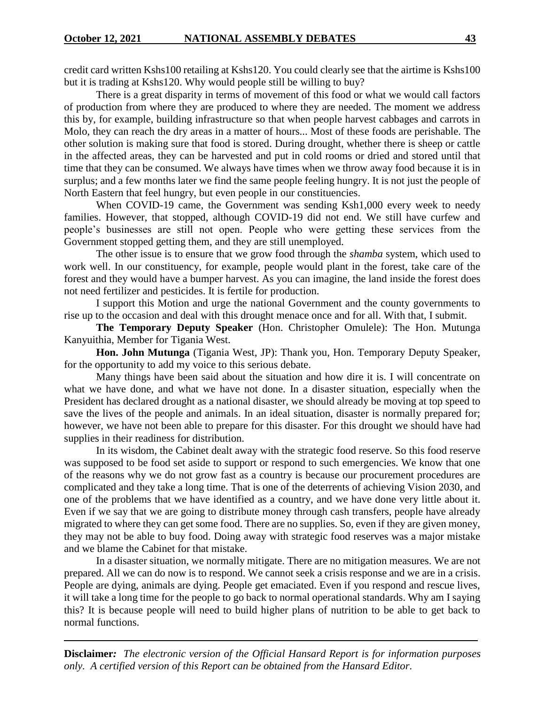credit card written Kshs100 retailing at Kshs120. You could clearly see that the airtime is Kshs100 but it is trading at Kshs120. Why would people still be willing to buy?

There is a great disparity in terms of movement of this food or what we would call factors of production from where they are produced to where they are needed. The moment we address this by, for example, building infrastructure so that when people harvest cabbages and carrots in Molo, they can reach the dry areas in a matter of hours... Most of these foods are perishable. The other solution is making sure that food is stored. During drought, whether there is sheep or cattle in the affected areas, they can be harvested and put in cold rooms or dried and stored until that time that they can be consumed. We always have times when we throw away food because it is in surplus; and a few months later we find the same people feeling hungry. It is not just the people of North Eastern that feel hungry, but even people in our constituencies.

When COVID-19 came, the Government was sending Ksh1,000 every week to needy families. However, that stopped, although COVID-19 did not end. We still have curfew and people's businesses are still not open. People who were getting these services from the Government stopped getting them, and they are still unemployed.

The other issue is to ensure that we grow food through the *shamba* system, which used to work well. In our constituency, for example, people would plant in the forest, take care of the forest and they would have a bumper harvest. As you can imagine, the land inside the forest does not need fertilizer and pesticides. It is fertile for production.

I support this Motion and urge the national Government and the county governments to rise up to the occasion and deal with this drought menace once and for all. With that, I submit.

**The Temporary Deputy Speaker** (Hon. Christopher Omulele): The Hon. Mutunga Kanyuithia, Member for Tigania West.

**Hon. John Mutunga** (Tigania West, JP): Thank you, Hon. Temporary Deputy Speaker, for the opportunity to add my voice to this serious debate.

Many things have been said about the situation and how dire it is. I will concentrate on what we have done, and what we have not done. In a disaster situation, especially when the President has declared drought as a national disaster, we should already be moving at top speed to save the lives of the people and animals. In an ideal situation, disaster is normally prepared for; however, we have not been able to prepare for this disaster. For this drought we should have had supplies in their readiness for distribution.

In its wisdom, the Cabinet dealt away with the strategic food reserve. So this food reserve was supposed to be food set aside to support or respond to such emergencies. We know that one of the reasons why we do not grow fast as a country is because our procurement procedures are complicated and they take a long time. That is one of the deterrents of achieving Vision 2030, and one of the problems that we have identified as a country, and we have done very little about it. Even if we say that we are going to distribute money through cash transfers, people have already migrated to where they can get some food. There are no supplies. So, even if they are given money, they may not be able to buy food. Doing away with strategic food reserves was a major mistake and we blame the Cabinet for that mistake.

In a disaster situation, we normally mitigate. There are no mitigation measures. We are not prepared. All we can do now is to respond. We cannot seek a crisis response and we are in a crisis. People are dying, animals are dying. People get emaciated. Even if you respond and rescue lives, it will take a long time for the people to go back to normal operational standards. Why am I saying this? It is because people will need to build higher plans of nutrition to be able to get back to normal functions.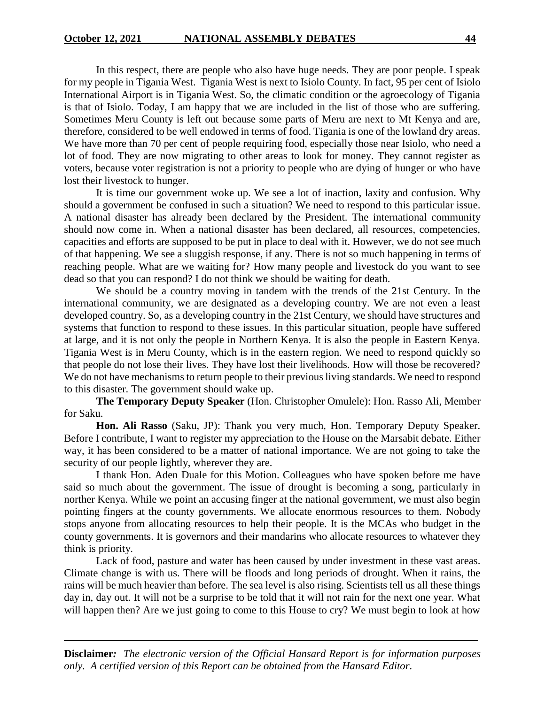In this respect, there are people who also have huge needs. They are poor people. I speak for my people in Tigania West. Tigania West is next to Isiolo County. In fact, 95 per cent of Isiolo International Airport is in Tigania West. So, the climatic condition or the agroecology of Tigania is that of Isiolo. Today, I am happy that we are included in the list of those who are suffering. Sometimes Meru County is left out because some parts of Meru are next to Mt Kenya and are, therefore, considered to be well endowed in terms of food. Tigania is one of the lowland dry areas. We have more than 70 per cent of people requiring food, especially those near Isiolo, who need a lot of food. They are now migrating to other areas to look for money. They cannot register as voters, because voter registration is not a priority to people who are dying of hunger or who have lost their livestock to hunger.

It is time our government woke up. We see a lot of inaction, laxity and confusion. Why should a government be confused in such a situation? We need to respond to this particular issue. A national disaster has already been declared by the President. The international community should now come in. When a national disaster has been declared, all resources, competencies, capacities and efforts are supposed to be put in place to deal with it. However, we do not see much of that happening. We see a sluggish response, if any. There is not so much happening in terms of reaching people. What are we waiting for? How many people and livestock do you want to see dead so that you can respond? I do not think we should be waiting for death.

We should be a country moving in tandem with the trends of the 21st Century. In the international community, we are designated as a developing country. We are not even a least developed country. So, as a developing country in the 21st Century, we should have structures and systems that function to respond to these issues. In this particular situation, people have suffered at large, and it is not only the people in Northern Kenya. It is also the people in Eastern Kenya. Tigania West is in Meru County, which is in the eastern region. We need to respond quickly so that people do not lose their lives. They have lost their livelihoods. How will those be recovered? We do not have mechanisms to return people to their previous living standards. We need to respond to this disaster. The government should wake up.

**The Temporary Deputy Speaker** (Hon. Christopher Omulele): Hon. Rasso Ali, Member for Saku.

**Hon. Ali Rasso** (Saku, JP): Thank you very much, Hon. Temporary Deputy Speaker. Before I contribute, I want to register my appreciation to the House on the Marsabit debate. Either way, it has been considered to be a matter of national importance. We are not going to take the security of our people lightly, wherever they are.

I thank Hon. Aden Duale for this Motion. Colleagues who have spoken before me have said so much about the government. The issue of drought is becoming a song, particularly in norther Kenya. While we point an accusing finger at the national government, we must also begin pointing fingers at the county governments. We allocate enormous resources to them. Nobody stops anyone from allocating resources to help their people. It is the MCAs who budget in the county governments. It is governors and their mandarins who allocate resources to whatever they think is priority.

Lack of food, pasture and water has been caused by under investment in these vast areas. Climate change is with us. There will be floods and long periods of drought. When it rains, the rains will be much heavier than before. The sea level is also rising. Scientists tell us all these things day in, day out. It will not be a surprise to be told that it will not rain for the next one year. What will happen then? Are we just going to come to this House to cry? We must begin to look at how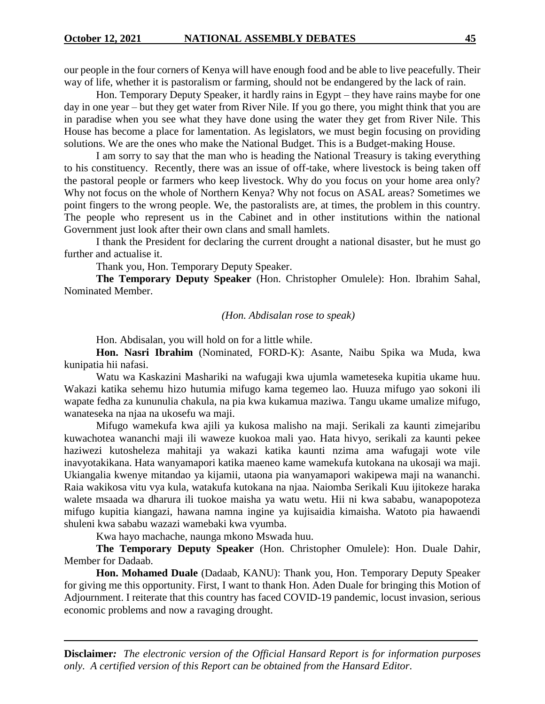our people in the four corners of Kenya will have enough food and be able to live peacefully. Their way of life, whether it is pastoralism or farming, should not be endangered by the lack of rain.

Hon. Temporary Deputy Speaker, it hardly rains in Egypt – they have rains maybe for one day in one year – but they get water from River Nile. If you go there, you might think that you are in paradise when you see what they have done using the water they get from River Nile. This House has become a place for lamentation. As legislators, we must begin focusing on providing solutions. We are the ones who make the National Budget. This is a Budget-making House.

I am sorry to say that the man who is heading the National Treasury is taking everything to his constituency. Recently, there was an issue of off-take, where livestock is being taken off the pastoral people or farmers who keep livestock. Why do you focus on your home area only? Why not focus on the whole of Northern Kenya? Why not focus on ASAL areas? Sometimes we point fingers to the wrong people. We, the pastoralists are, at times, the problem in this country. The people who represent us in the Cabinet and in other institutions within the national Government just look after their own clans and small hamlets.

I thank the President for declaring the current drought a national disaster, but he must go further and actualise it.

Thank you, Hon. Temporary Deputy Speaker.

**The Temporary Deputy Speaker** (Hon. Christopher Omulele): Hon. Ibrahim Sahal, Nominated Member.

## *(Hon. Abdisalan rose to speak)*

Hon. Abdisalan, you will hold on for a little while.

**Hon. Nasri Ibrahim** (Nominated, FORD-K): Asante, Naibu Spika wa Muda, kwa kunipatia hii nafasi.

Watu wa Kaskazini Mashariki na wafugaji kwa ujumla wameteseka kupitia ukame huu. Wakazi katika sehemu hizo hutumia mifugo kama tegemeo lao. Huuza mifugo yao sokoni ili wapate fedha za kununulia chakula, na pia kwa kukamua maziwa. Tangu ukame umalize mifugo, wanateseka na njaa na ukosefu wa maji.

Mifugo wamekufa kwa ajili ya kukosa malisho na maji. Serikali za kaunti zimejaribu kuwachotea wananchi maji ili waweze kuokoa mali yao. Hata hivyo, serikali za kaunti pekee haziwezi kutosheleza mahitaji ya wakazi katika kaunti nzima ama wafugaji wote vile inavyotakikana. Hata wanyamapori katika maeneo kame wamekufa kutokana na ukosaji wa maji. Ukiangalia kwenye mitandao ya kijamii, utaona pia wanyamapori wakipewa maji na wananchi. Raia wakikosa vitu vya kula, watakufa kutokana na njaa. Naiomba Serikali Kuu ijitokeze haraka walete msaada wa dharura ili tuokoe maisha ya watu wetu. Hii ni kwa sababu, wanapopoteza mifugo kupitia kiangazi, hawana namna ingine ya kujisaidia kimaisha. Watoto pia hawaendi shuleni kwa sababu wazazi wamebaki kwa vyumba.

Kwa hayo machache, naunga mkono Mswada huu.

**The Temporary Deputy Speaker** (Hon. Christopher Omulele): Hon. Duale Dahir, Member for Dadaab.

**Hon. Mohamed Duale** (Dadaab, KANU): Thank you, Hon. Temporary Deputy Speaker for giving me this opportunity. First, I want to thank Hon. Aden Duale for bringing this Motion of Adjournment. I reiterate that this country has faced COVID-19 pandemic, locust invasion, serious economic problems and now a ravaging drought.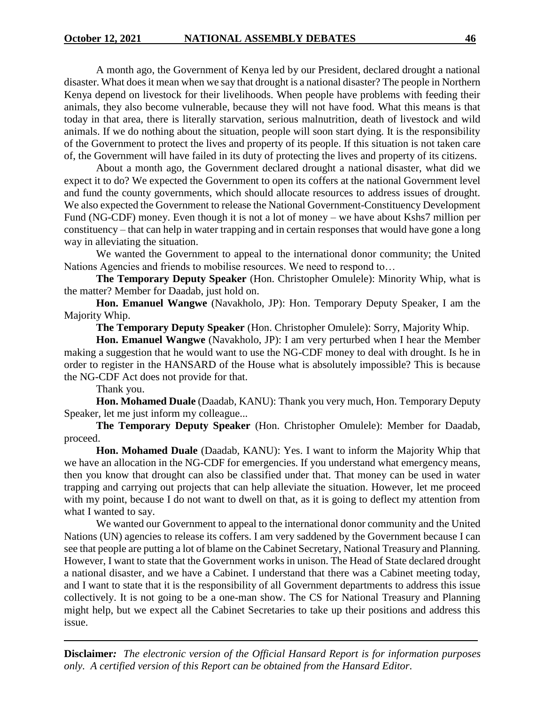A month ago, the Government of Kenya led by our President, declared drought a national disaster. What does it mean when we say that drought is a national disaster? The people in Northern Kenya depend on livestock for their livelihoods. When people have problems with feeding their animals, they also become vulnerable, because they will not have food. What this means is that today in that area, there is literally starvation, serious malnutrition, death of livestock and wild animals. If we do nothing about the situation, people will soon start dying. It is the responsibility of the Government to protect the lives and property of its people. If this situation is not taken care of, the Government will have failed in its duty of protecting the lives and property of its citizens.

About a month ago, the Government declared drought a national disaster, what did we expect it to do? We expected the Government to open its coffers at the national Government level and fund the county governments, which should allocate resources to address issues of drought. We also expected the Government to release the National Government-Constituency Development Fund (NG-CDF) money. Even though it is not a lot of money – we have about Kshs7 million per constituency – that can help in water trapping and in certain responses that would have gone a long way in alleviating the situation.

We wanted the Government to appeal to the international donor community; the United Nations Agencies and friends to mobilise resources. We need to respond to…

**The Temporary Deputy Speaker** (Hon. Christopher Omulele): Minority Whip, what is the matter? Member for Daadab, just hold on.

**Hon. Emanuel Wangwe** (Navakholo, JP): Hon. Temporary Deputy Speaker, I am the Majority Whip.

**The Temporary Deputy Speaker** (Hon. Christopher Omulele): Sorry, Majority Whip.

**Hon. Emanuel Wangwe** (Navakholo, JP): I am very perturbed when I hear the Member making a suggestion that he would want to use the NG-CDF money to deal with drought. Is he in order to register in the HANSARD of the House what is absolutely impossible? This is because the NG-CDF Act does not provide for that.

Thank you.

**Hon. Mohamed Duale** (Daadab, KANU): Thank you very much, Hon. Temporary Deputy Speaker, let me just inform my colleague...

**The Temporary Deputy Speaker** (Hon. Christopher Omulele): Member for Daadab, proceed.

**Hon. Mohamed Duale** (Daadab, KANU): Yes. I want to inform the Majority Whip that we have an allocation in the NG-CDF for emergencies. If you understand what emergency means, then you know that drought can also be classified under that. That money can be used in water trapping and carrying out projects that can help alleviate the situation. However, let me proceed with my point, because I do not want to dwell on that, as it is going to deflect my attention from what I wanted to say.

We wanted our Government to appeal to the international donor community and the United Nations (UN) agencies to release its coffers. I am very saddened by the Government because I can see that people are putting a lot of blame on the Cabinet Secretary, National Treasury and Planning. However, I want to state that the Government works in unison. The Head of State declared drought a national disaster, and we have a Cabinet. I understand that there was a Cabinet meeting today, and I want to state that it is the responsibility of all Government departments to address this issue collectively. It is not going to be a one-man show. The CS for National Treasury and Planning might help, but we expect all the Cabinet Secretaries to take up their positions and address this issue.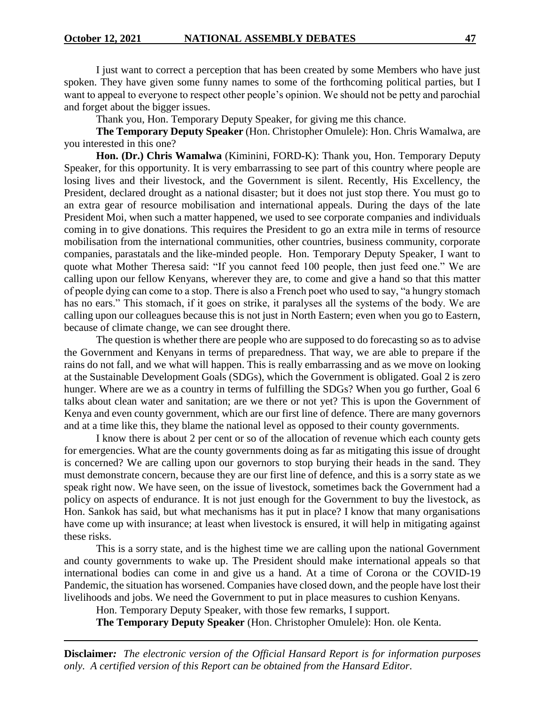I just want to correct a perception that has been created by some Members who have just spoken. They have given some funny names to some of the forthcoming political parties, but I want to appeal to everyone to respect other people's opinion. We should not be petty and parochial and forget about the bigger issues.

Thank you, Hon. Temporary Deputy Speaker, for giving me this chance.

**The Temporary Deputy Speaker** (Hon. Christopher Omulele): Hon. Chris Wamalwa, are you interested in this one?

**Hon. (Dr.) Chris Wamalwa** (Kiminini, FORD-K): Thank you, Hon. Temporary Deputy Speaker, for this opportunity. It is very embarrassing to see part of this country where people are losing lives and their livestock, and the Government is silent. Recently, His Excellency, the President, declared drought as a national disaster; but it does not just stop there. You must go to an extra gear of resource mobilisation and international appeals. During the days of the late President Moi, when such a matter happened, we used to see corporate companies and individuals coming in to give donations. This requires the President to go an extra mile in terms of resource mobilisation from the international communities, other countries, business community, corporate companies, parastatals and the like-minded people. Hon. Temporary Deputy Speaker, I want to quote what Mother Theresa said: "If you cannot feed 100 people, then just feed one." We are calling upon our fellow Kenyans, wherever they are, to come and give a hand so that this matter of people dying can come to a stop. There is also a French poet who used to say, "a hungry stomach has no ears." This stomach, if it goes on strike, it paralyses all the systems of the body. We are calling upon our colleagues because this is not just in North Eastern; even when you go to Eastern, because of climate change, we can see drought there.

The question is whether there are people who are supposed to do forecasting so as to advise the Government and Kenyans in terms of preparedness. That way, we are able to prepare if the rains do not fall, and we what will happen. This is really embarrassing and as we move on looking at the Sustainable Development Goals (SDGs), which the Government is obligated. Goal 2 is zero hunger. Where are we as a country in terms of fulfilling the SDGs? When you go further, Goal 6 talks about clean water and sanitation; are we there or not yet? This is upon the Government of Kenya and even county government, which are our first line of defence. There are many governors and at a time like this, they blame the national level as opposed to their county governments.

I know there is about 2 per cent or so of the allocation of revenue which each county gets for emergencies. What are the county governments doing as far as mitigating this issue of drought is concerned? We are calling upon our governors to stop burying their heads in the sand. They must demonstrate concern, because they are our first line of defence, and this is a sorry state as we speak right now. We have seen, on the issue of livestock, sometimes back the Government had a policy on aspects of endurance. It is not just enough for the Government to buy the livestock, as Hon. Sankok has said, but what mechanisms has it put in place? I know that many organisations have come up with insurance; at least when livestock is ensured, it will help in mitigating against these risks.

This is a sorry state, and is the highest time we are calling upon the national Government and county governments to wake up. The President should make international appeals so that international bodies can come in and give us a hand. At a time of Corona or the COVID-19 Pandemic, the situation has worsened. Companies have closed down, and the people have lost their livelihoods and jobs. We need the Government to put in place measures to cushion Kenyans.

Hon. Temporary Deputy Speaker, with those few remarks, I support.

**The Temporary Deputy Speaker** (Hon. Christopher Omulele): Hon. ole Kenta.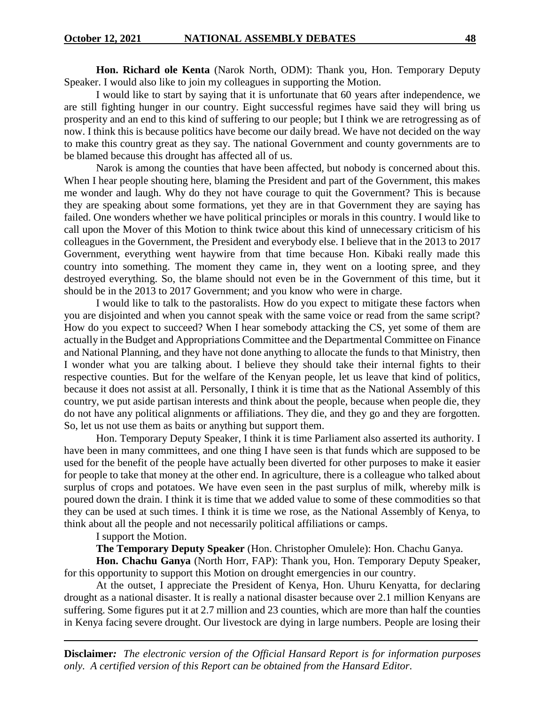**Hon. Richard ole Kenta** (Narok North, ODM): Thank you, Hon. Temporary Deputy Speaker. I would also like to join my colleagues in supporting the Motion.

I would like to start by saying that it is unfortunate that 60 years after independence, we are still fighting hunger in our country. Eight successful regimes have said they will bring us prosperity and an end to this kind of suffering to our people; but I think we are retrogressing as of now. I think this is because politics have become our daily bread. We have not decided on the way to make this country great as they say. The national Government and county governments are to be blamed because this drought has affected all of us.

Narok is among the counties that have been affected, but nobody is concerned about this. When I hear people shouting here, blaming the President and part of the Government, this makes me wonder and laugh. Why do they not have courage to quit the Government? This is because they are speaking about some formations, yet they are in that Government they are saying has failed. One wonders whether we have political principles or morals in this country. I would like to call upon the Mover of this Motion to think twice about this kind of unnecessary criticism of his colleagues in the Government, the President and everybody else. I believe that in the 2013 to 2017 Government, everything went haywire from that time because Hon. Kibaki really made this country into something. The moment they came in, they went on a looting spree, and they destroyed everything. So, the blame should not even be in the Government of this time, but it should be in the 2013 to 2017 Government; and you know who were in charge.

I would like to talk to the pastoralists. How do you expect to mitigate these factors when you are disjointed and when you cannot speak with the same voice or read from the same script? How do you expect to succeed? When I hear somebody attacking the CS, yet some of them are actually in the Budget and Appropriations Committee and the Departmental Committee on Finance and National Planning, and they have not done anything to allocate the funds to that Ministry, then I wonder what you are talking about. I believe they should take their internal fights to their respective counties. But for the welfare of the Kenyan people, let us leave that kind of politics, because it does not assist at all. Personally, I think it is time that as the National Assembly of this country, we put aside partisan interests and think about the people, because when people die, they do not have any political alignments or affiliations. They die, and they go and they are forgotten. So, let us not use them as baits or anything but support them.

Hon. Temporary Deputy Speaker, I think it is time Parliament also asserted its authority. I have been in many committees, and one thing I have seen is that funds which are supposed to be used for the benefit of the people have actually been diverted for other purposes to make it easier for people to take that money at the other end. In agriculture, there is a colleague who talked about surplus of crops and potatoes. We have even seen in the past surplus of milk, whereby milk is poured down the drain. I think it is time that we added value to some of these commodities so that they can be used at such times. I think it is time we rose, as the National Assembly of Kenya, to think about all the people and not necessarily political affiliations or camps.

I support the Motion.

**The Temporary Deputy Speaker** (Hon. Christopher Omulele): Hon. Chachu Ganya.

**Hon. Chachu Ganya** (North Horr, FAP): Thank you, Hon. Temporary Deputy Speaker, for this opportunity to support this Motion on drought emergencies in our country.

At the outset, I appreciate the President of Kenya, Hon. Uhuru Kenyatta, for declaring drought as a national disaster. It is really a national disaster because over 2.1 million Kenyans are suffering. Some figures put it at 2.7 million and 23 counties, which are more than half the counties in Kenya facing severe drought. Our livestock are dying in large numbers. People are losing their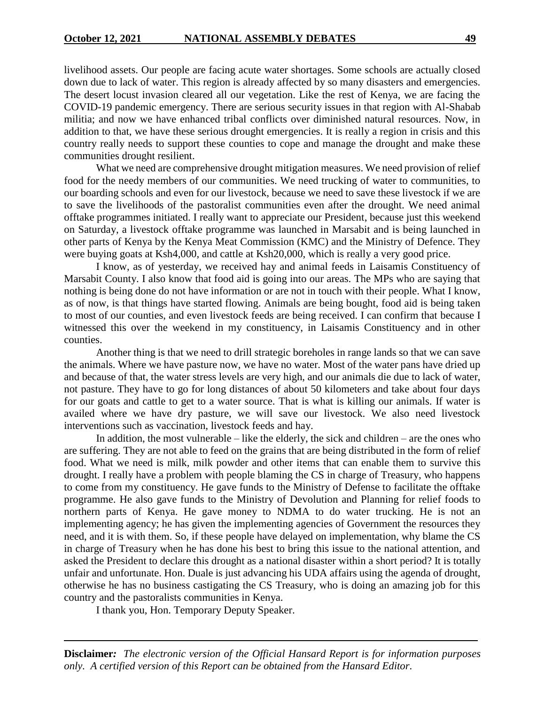livelihood assets. Our people are facing acute water shortages. Some schools are actually closed down due to lack of water. This region is already affected by so many disasters and emergencies. The desert locust invasion cleared all our vegetation. Like the rest of Kenya, we are facing the COVID-19 pandemic emergency. There are serious security issues in that region with Al-Shabab militia; and now we have enhanced tribal conflicts over diminished natural resources. Now, in addition to that, we have these serious drought emergencies. It is really a region in crisis and this country really needs to support these counties to cope and manage the drought and make these communities drought resilient.

What we need are comprehensive drought mitigation measures. We need provision of relief food for the needy members of our communities. We need trucking of water to communities, to our boarding schools and even for our livestock, because we need to save these livestock if we are to save the livelihoods of the pastoralist communities even after the drought. We need animal offtake programmes initiated. I really want to appreciate our President, because just this weekend on Saturday, a livestock offtake programme was launched in Marsabit and is being launched in other parts of Kenya by the Kenya Meat Commission (KMC) and the Ministry of Defence. They were buying goats at Ksh4,000, and cattle at Ksh20,000, which is really a very good price.

I know, as of yesterday, we received hay and animal feeds in Laisamis Constituency of Marsabit County. I also know that food aid is going into our areas. The MPs who are saying that nothing is being done do not have information or are not in touch with their people. What I know, as of now, is that things have started flowing. Animals are being bought, food aid is being taken to most of our counties, and even livestock feeds are being received. I can confirm that because I witnessed this over the weekend in my constituency, in Laisamis Constituency and in other counties.

Another thing is that we need to drill strategic boreholes in range lands so that we can save the animals. Where we have pasture now, we have no water. Most of the water pans have dried up and because of that, the water stress levels are very high, and our animals die due to lack of water, not pasture. They have to go for long distances of about 50 kilometers and take about four days for our goats and cattle to get to a water source. That is what is killing our animals. If water is availed where we have dry pasture, we will save our livestock. We also need livestock interventions such as vaccination, livestock feeds and hay.

In addition, the most vulnerable – like the elderly, the sick and children – are the ones who are suffering. They are not able to feed on the grains that are being distributed in the form of relief food. What we need is milk, milk powder and other items that can enable them to survive this drought. I really have a problem with people blaming the CS in charge of Treasury, who happens to come from my constituency. He gave funds to the Ministry of Defense to facilitate the offtake programme. He also gave funds to the Ministry of Devolution and Planning for relief foods to northern parts of Kenya. He gave money to NDMA to do water trucking. He is not an implementing agency; he has given the implementing agencies of Government the resources they need, and it is with them. So, if these people have delayed on implementation, why blame the CS in charge of Treasury when he has done his best to bring this issue to the national attention, and asked the President to declare this drought as a national disaster within a short period? It is totally unfair and unfortunate. Hon. Duale is just advancing his UDA affairs using the agenda of drought, otherwise he has no business castigating the CS Treasury, who is doing an amazing job for this country and the pastoralists communities in Kenya.

I thank you, Hon. Temporary Deputy Speaker.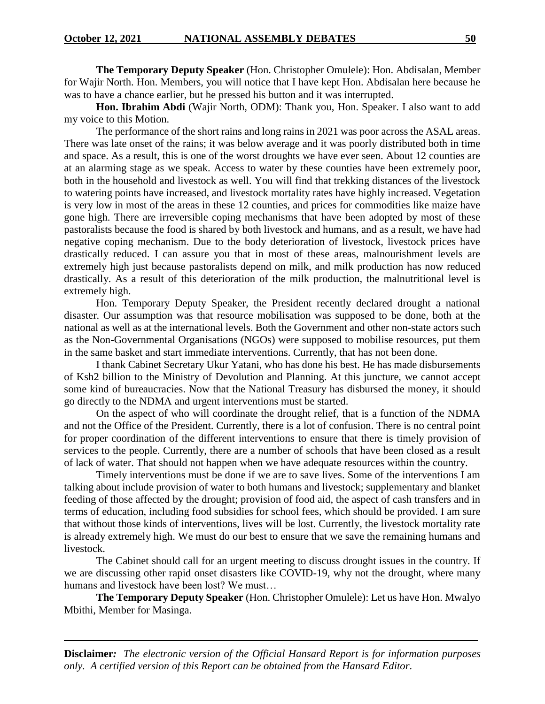**The Temporary Deputy Speaker** (Hon. Christopher Omulele): Hon. Abdisalan, Member for Wajir North. Hon. Members, you will notice that I have kept Hon. Abdisalan here because he was to have a chance earlier, but he pressed his button and it was interrupted.

**Hon. Ibrahim Abdi** (Wajir North, ODM): Thank you, Hon. Speaker. I also want to add my voice to this Motion.

The performance of the short rains and long rains in 2021 was poor across the ASAL areas. There was late onset of the rains; it was below average and it was poorly distributed both in time and space. As a result, this is one of the worst droughts we have ever seen. About 12 counties are at an alarming stage as we speak. Access to water by these counties have been extremely poor, both in the household and livestock as well. You will find that trekking distances of the livestock to watering points have increased, and livestock mortality rates have highly increased. Vegetation is very low in most of the areas in these 12 counties, and prices for commodities like maize have gone high. There are irreversible coping mechanisms that have been adopted by most of these pastoralists because the food is shared by both livestock and humans, and as a result, we have had negative coping mechanism. Due to the body deterioration of livestock, livestock prices have drastically reduced. I can assure you that in most of these areas, malnourishment levels are extremely high just because pastoralists depend on milk, and milk production has now reduced drastically. As a result of this deterioration of the milk production, the malnutritional level is extremely high.

Hon. Temporary Deputy Speaker, the President recently declared drought a national disaster. Our assumption was that resource mobilisation was supposed to be done, both at the national as well as at the international levels. Both the Government and other non-state actors such as the Non-Governmental Organisations (NGOs) were supposed to mobilise resources, put them in the same basket and start immediate interventions. Currently, that has not been done.

I thank Cabinet Secretary Ukur Yatani, who has done his best. He has made disbursements of Ksh2 billion to the Ministry of Devolution and Planning. At this juncture, we cannot accept some kind of bureaucracies. Now that the National Treasury has disbursed the money, it should go directly to the NDMA and urgent interventions must be started.

On the aspect of who will coordinate the drought relief, that is a function of the NDMA and not the Office of the President. Currently, there is a lot of confusion. There is no central point for proper coordination of the different interventions to ensure that there is timely provision of services to the people. Currently, there are a number of schools that have been closed as a result of lack of water. That should not happen when we have adequate resources within the country.

Timely interventions must be done if we are to save lives. Some of the interventions I am talking about include provision of water to both humans and livestock; supplementary and blanket feeding of those affected by the drought; provision of food aid, the aspect of cash transfers and in terms of education, including food subsidies for school fees, which should be provided. I am sure that without those kinds of interventions, lives will be lost. Currently, the livestock mortality rate is already extremely high. We must do our best to ensure that we save the remaining humans and livestock.

The Cabinet should call for an urgent meeting to discuss drought issues in the country. If we are discussing other rapid onset disasters like COVID-19, why not the drought, where many humans and livestock have been lost? We must…

**The Temporary Deputy Speaker** (Hon. Christopher Omulele): Let us have Hon. Mwalyo Mbithi, Member for Masinga.